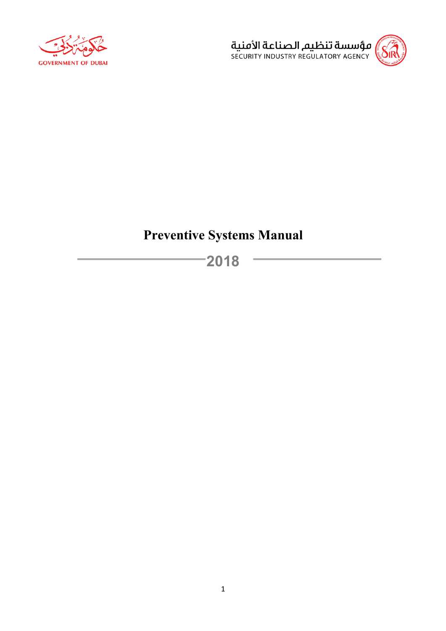



# **Preventive Systems Manual**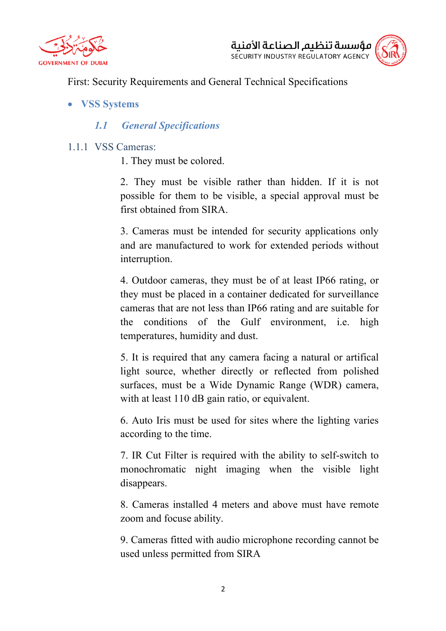



First: Security Requirements and General Technical Specifications

• **VSS Systems**

# *1.1 General Specifications*

- 1.1.1 VSS Cameras:
	- 1. They must be colored.

2. They must be visible rather than hidden. If it is not possible for them to be visible, a special approval must be first obtained from SIRA.

3. Cameras must be intended for security applications only and are manufactured to work for extended periods without interruption.

4. Outdoor cameras, they must be of at least IP66 rating, or they must be placed in a container dedicated for surveillance cameras that are not less than IP66 rating and are suitable for the conditions of the Gulf environment, i.e. high temperatures, humidity and dust.

5. It is required that any camera facing a natural or artifical light source, whether directly or reflected from polished surfaces, must be a Wide Dynamic Range (WDR) camera, with at least 110 dB gain ratio, or equivalent.

6. Auto Iris must be used for sites where the lighting varies according to the time.

7. IR Cut Filter is required with the ability to self-switch to monochromatic night imaging when the visible light disappears.

8. Cameras installed 4 meters and above must have remote zoom and focuse ability.

9. Cameras fitted with audio microphone recording cannot be used unless permitted from SIRA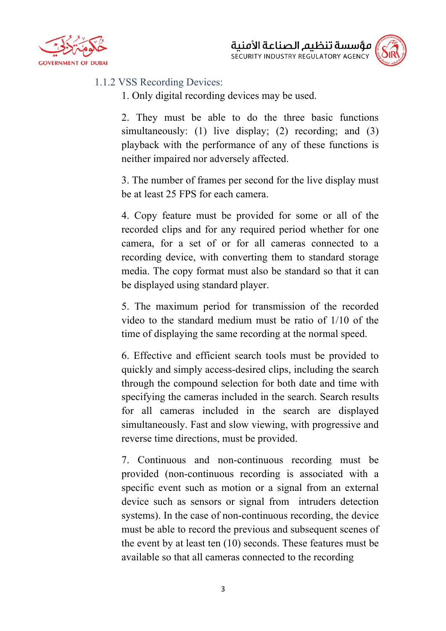



#### 1.1.2 VSS Recording Devices:

1. Only digital recording devices may be used.

2. They must be able to do the three basic functions simultaneously: (1) live display; (2) recording; and (3) playback with the performance of any of these functions is neither impaired nor adversely affected.

3. The number of frames per second for the live display must be at least 25 FPS for each camera.

4. Copy feature must be provided for some or all of the recorded clips and for any required period whether for one camera, for a set of or for all cameras connected to a recording device, with converting them to standard storage media. The copy format must also be standard so that it can be displayed using standard player.

5. The maximum period for transmission of the recorded video to the standard medium must be ratio of 1/10 of the time of displaying the same recording at the normal speed.

6. Effective and efficient search tools must be provided to quickly and simply access-desired clips, including the search through the compound selection for both date and time with specifying the cameras included in the search. Search results for all cameras included in the search are displayed simultaneously. Fast and slow viewing, with progressive and reverse time directions, must be provided.

7. Continuous and non-continuous recording must be provided (non-continuous recording is associated with a specific event such as motion or a signal from an external device such as sensors or signal from intruders detection systems). In the case of non-continuous recording, the device must be able to record the previous and subsequent scenes of the event by at least ten (10) seconds. These features must be available so that all cameras connected to the recording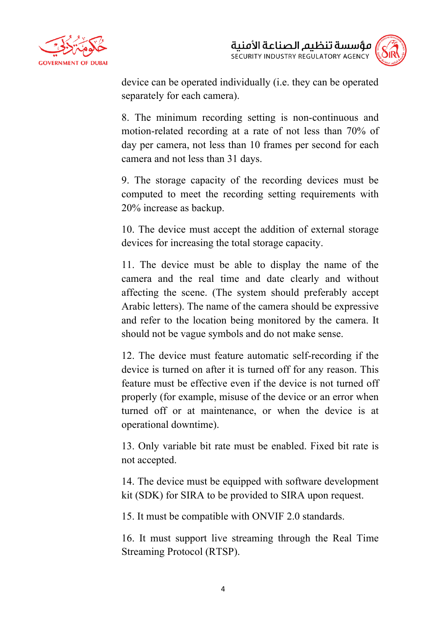

device can be operated individually (i.e. they can be operated separately for each camera).

8. The minimum recording setting is non-continuous and motion-related recording at a rate of not less than 70% of day per camera, not less than 10 frames per second for each camera and not less than 31 days.

9. The storage capacity of the recording devices must be computed to meet the recording setting requirements with 20% increase as backup.

10. The device must accept the addition of external storage devices for increasing the total storage capacity.

11. The device must be able to display the name of the camera and the real time and date clearly and without affecting the scene. (The system should preferably accept Arabic letters). The name of the camera should be expressive and refer to the location being monitored by the camera. It should not be vague symbols and do not make sense.

12. The device must feature automatic self-recording if the device is turned on after it is turned off for any reason. This feature must be effective even if the device is not turned off properly (for example, misuse of the device or an error when turned off or at maintenance, or when the device is at operational downtime).

13. Only variable bit rate must be enabled. Fixed bit rate is not accepted.

14. The device must be equipped with software development kit (SDK) for SIRA to be provided to SIRA upon request.

15. It must be compatible with ONVIF 2.0 standards.

16. It must support live streaming through the Real Time Streaming Protocol (RTSP).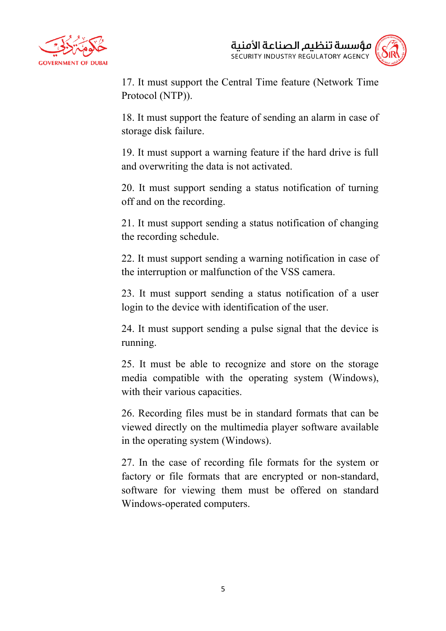



17. It must support the Central Time feature (Network Time Protocol (NTP)).

18. It must support the feature of sending an alarm in case of storage disk failure.

19. It must support a warning feature if the hard drive is full and overwriting the data is not activated.

20. It must support sending a status notification of turning off and on the recording.

21. It must support sending a status notification of changing the recording schedule.

22. It must support sending a warning notification in case of the interruption or malfunction of the VSS camera.

23. It must support sending a status notification of a user login to the device with identification of the user.

24. It must support sending a pulse signal that the device is running.

25. It must be able to recognize and store on the storage media compatible with the operating system (Windows), with their various capacities.

26. Recording files must be in standard formats that can be viewed directly on the multimedia player software available in the operating system (Windows).

27. In the case of recording file formats for the system or factory or file formats that are encrypted or non-standard, software for viewing them must be offered on standard Windows-operated computers.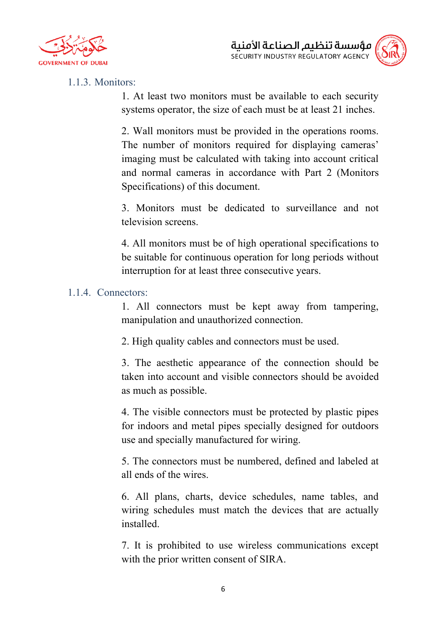



#### 1.1.3. Monitors:

1. At least two monitors must be available to each security systems operator, the size of each must be at least 21 inches.

2. Wall monitors must be provided in the operations rooms. The number of monitors required for displaying cameras' imaging must be calculated with taking into account critical and normal cameras in accordance with Part 2 (Monitors Specifications) of this document.

3. Monitors must be dedicated to surveillance and not television screens.

4. All monitors must be of high operational specifications to be suitable for continuous operation for long periods without interruption for at least three consecutive years.

#### 1.1.4. Connectors:

1. All connectors must be kept away from tampering, manipulation and unauthorized connection.

2. High quality cables and connectors must be used.

3. The aesthetic appearance of the connection should be taken into account and visible connectors should be avoided as much as possible.

4. The visible connectors must be protected by plastic pipes for indoors and metal pipes specially designed for outdoors use and specially manufactured for wiring.

5. The connectors must be numbered, defined and labeled at all ends of the wires.

6. All plans, charts, device schedules, name tables, and wiring schedules must match the devices that are actually installed.

7. It is prohibited to use wireless communications except with the prior written consent of SIRA.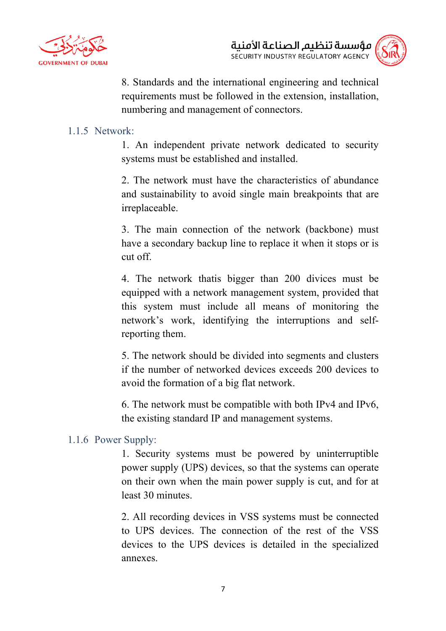

8. Standards and the international engineering and technical requirements must be followed in the extension, installation, numbering and management of connectors.

#### 1.1.5 Network:

1. An independent private network dedicated to security systems must be established and installed.

2. The network must have the characteristics of abundance and sustainability to avoid single main breakpoints that are irreplaceable.

3. The main connection of the network (backbone) must have a secondary backup line to replace it when it stops or is cut off.

4. The network thatis bigger than 200 divices must be equipped with a network management system, provided that this system must include all means of monitoring the network's work, identifying the interruptions and selfreporting them.

5. The network should be divided into segments and clusters if the number of networked devices exceeds 200 devices to avoid the formation of a big flat network.

6. The network must be compatible with both IPv4 and IPv6, the existing standard IP and management systems.

#### 1.1.6 Power Supply:

1. Security systems must be powered by uninterruptible power supply (UPS) devices, so that the systems can operate on their own when the main power supply is cut, and for at least 30 minutes.

2. All recording devices in VSS systems must be connected to UPS devices. The connection of the rest of the VSS devices to the UPS devices is detailed in the specialized annexes.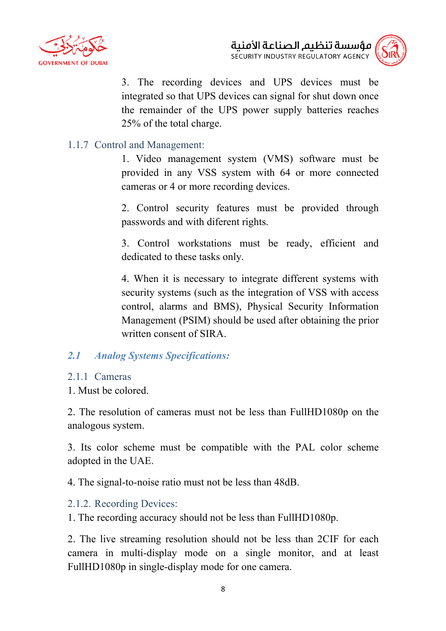

3. The recording devices and UPS devices must be integrated so that UPS devices can signal for shut down once the remainder of the UPS power supply batteries reaches 25% of the total charge.

# 1.1.7 Control and Management:

1. Video management system (VMS) software must be provided in any VSS system with 64 or more connected cameras or 4 or more recording devices.

2. Control security features must be provided through passwords and with diferent rights.

3. Control workstations must be ready, efficient and dedicated to these tasks only.

4. When it is necessary to integrate different systems with security systems (such as the integration of VSS with access control, alarms and BMS), Physical Security Information Management (PSIM) should be used after obtaining the prior written consent of SIRA

## *2.1 Analog Systems Specifications:*

#### 2.1.1 Cameras

1. Must be colored.

2. The resolution of cameras must not be less than FullHD1080p on the analogous system.

3. Its color scheme must be compatible with the PAL color scheme adopted in the UAE.

4. The signal-to-noise ratio must not be less than 48dB.

## 2.1.2. Recording Devices:

1. The recording accuracy should not be less than FullHD1080p.

2. The live streaming resolution should not be less than 2CIF for each camera in multi-display mode on a single monitor, and at least FullHD1080p in single-display mode for one camera.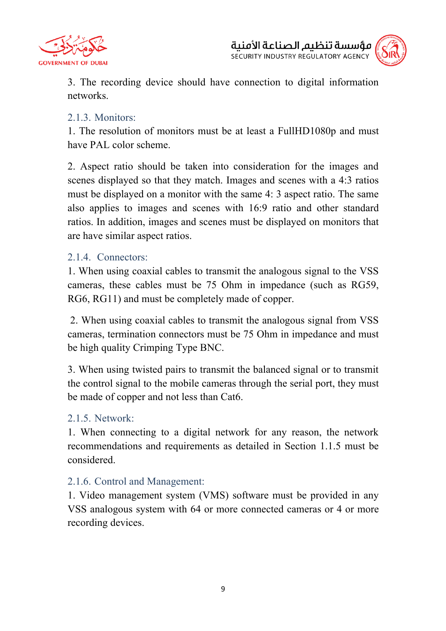



3. The recording device should have connection to digital information networks.

## 2.1.3. Monitors:

1. The resolution of monitors must be at least a FullHD1080p and must have PAL color scheme.

2. Aspect ratio should be taken into consideration for the images and scenes displayed so that they match. Images and scenes with a 4:3 ratios must be displayed on a monitor with the same 4: 3 aspect ratio. The same also applies to images and scenes with 16:9 ratio and other standard ratios. In addition, images and scenes must be displayed on monitors that are have similar aspect ratios.

#### 2.1.4. Connectors:

1. When using coaxial cables to transmit the analogous signal to the VSS cameras, these cables must be 75 Ohm in impedance (such as RG59, RG6, RG11) and must be completely made of copper.

2. When using coaxial cables to transmit the analogous signal from VSS cameras, termination connectors must be 75 Ohm in impedance and must be high quality Crimping Type BNC.

3. When using twisted pairs to transmit the balanced signal or to transmit the control signal to the mobile cameras through the serial port, they must be made of copper and not less than Cat6.

## 2.1.5. Network:

1. When connecting to a digital network for any reason, the network recommendations and requirements as detailed in Section 1.1.5 must be considered.

## 2.1.6. Control and Management:

1. Video management system (VMS) software must be provided in any VSS analogous system with 64 or more connected cameras or 4 or more recording devices.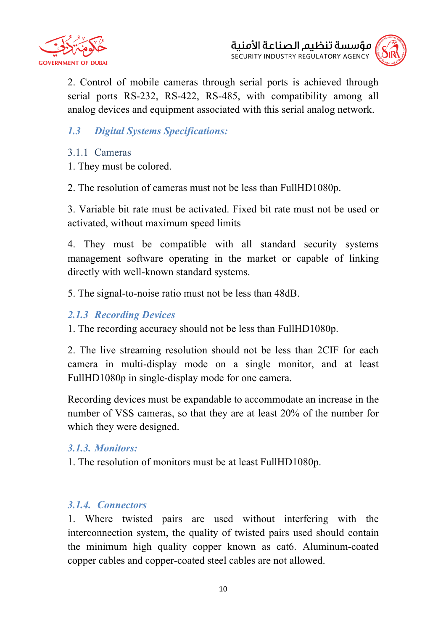



2. Control of mobile cameras through serial ports is achieved through serial ports RS-232, RS-422, RS-485, with compatibility among all analog devices and equipment associated with this serial analog network.

# *1.3 Digital Systems Specifications:*

#### 3.1.1 Cameras

1. They must be colored.

2. The resolution of cameras must not be less than FullHD1080p.

3. Variable bit rate must be activated. Fixed bit rate must not be used or activated, without maximum speed limits

4. They must be compatible with all standard security systems management software operating in the market or capable of linking directly with well-known standard systems.

5. The signal-to-noise ratio must not be less than 48dB.

#### *2.1.3 Recording Devices*

1. The recording accuracy should not be less than FullHD1080p.

2. The live streaming resolution should not be less than 2CIF for each camera in multi-display mode on a single monitor, and at least FullHD1080p in single-display mode for one camera.

Recording devices must be expandable to accommodate an increase in the number of VSS cameras, so that they are at least 20% of the number for which they were designed.

## *3.1.3. Monitors:*

1. The resolution of monitors must be at least FullHD1080p.

## *3.1.4. Connectors*

1. Where twisted pairs are used without interfering with the interconnection system, the quality of twisted pairs used should contain the minimum high quality copper known as cat6. Aluminum-coated copper cables and copper-coated steel cables are not allowed.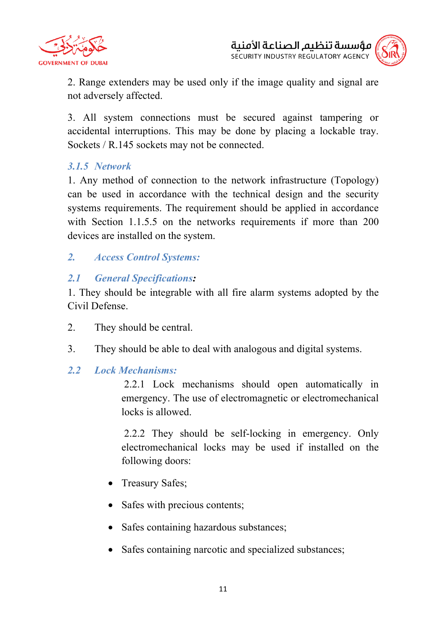



2. Range extenders may be used only if the image quality and signal are not adversely affected.

3. All system connections must be secured against tampering or accidental interruptions. This may be done by placing a lockable tray. Sockets / R.145 sockets may not be connected.

# *3.1.5 Network*

1. Any method of connection to the network infrastructure (Topology) can be used in accordance with the technical design and the security systems requirements. The requirement should be applied in accordance with Section 1.1.5.5 on the networks requirements if more than 200 devices are installed on the system.

# *2. Access Control Systems:*

# *2.1 General Specifications:*

1. They should be integrable with all fire alarm systems adopted by the Civil Defense.

- 2. They should be central.
- 3. They should be able to deal with analogous and digital systems.

## *2.2 Lock Mechanisms:*

2.2.1 Lock mechanisms should open automatically in emergency. The use of electromagnetic or electromechanical locks is allowed.

2.2.2 They should be self-locking in emergency. Only electromechanical locks may be used if installed on the following doors:

- Treasury Safes;
- Safes with precious contents;
- Safes containing hazardous substances;
- Safes containing narcotic and specialized substances;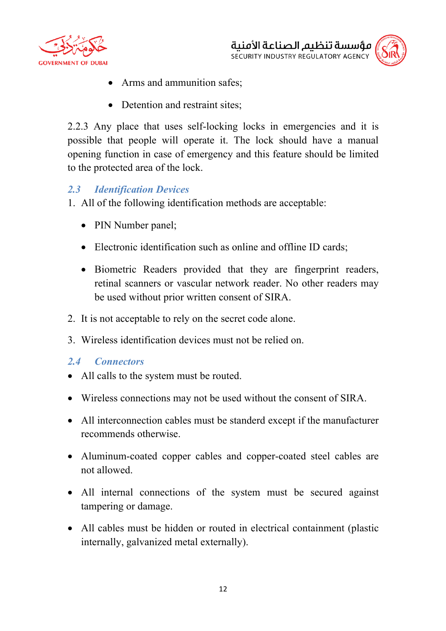



- Arms and ammunition safes;
- Detention and restraint sites:

2.2.3 Any place that uses self-locking locks in emergencies and it is possible that people will operate it. The lock should have a manual opening function in case of emergency and this feature should be limited to the protected area of the lock.

# *2.3 Identification Devices*

- 1. All of the following identification methods are acceptable:
	- PIN Number panel;
	- Electronic identification such as online and offline ID cards;
	- Biometric Readers provided that they are fingerprint readers, retinal scanners or vascular network reader. No other readers may be used without prior written consent of SIRA.
- 2. It is not acceptable to rely on the secret code alone.
- 3. Wireless identification devices must not be relied on.

## *2.4 Connectors*

- All calls to the system must be routed.
- Wireless connections may not be used without the consent of SIRA.
- All interconnection cables must be standerd except if the manufacturer recommends otherwise.
- Aluminum-coated copper cables and copper-coated steel cables are not allowed.
- All internal connections of the system must be secured against tampering or damage.
- All cables must be hidden or routed in electrical containment (plastic internally, galvanized metal externally).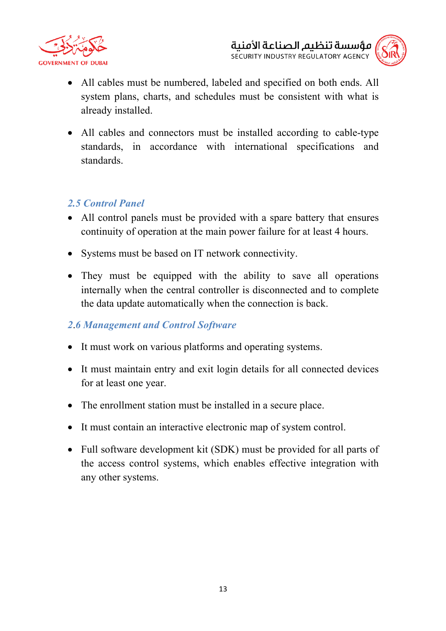



- All cables must be numbered, labeled and specified on both ends. All system plans, charts, and schedules must be consistent with what is already installed.
- All cables and connectors must be installed according to cable-type standards, in accordance with international specifications and standards.

# *2.5 Control Panel*

- All control panels must be provided with a spare battery that ensures continuity of operation at the main power failure for at least 4 hours.
- Systems must be based on IT network connectivity.
- They must be equipped with the ability to save all operations internally when the central controller is disconnected and to complete the data update automatically when the connection is back.

# *2*.*6 Management and Control Software*

- It must work on various platforms and operating systems.
- It must maintain entry and exit login details for all connected devices for at least one year.
- The enrollment station must be installed in a secure place.
- It must contain an interactive electronic map of system control.
- Full software development kit (SDK) must be provided for all parts of the access control systems, which enables effective integration with any other systems.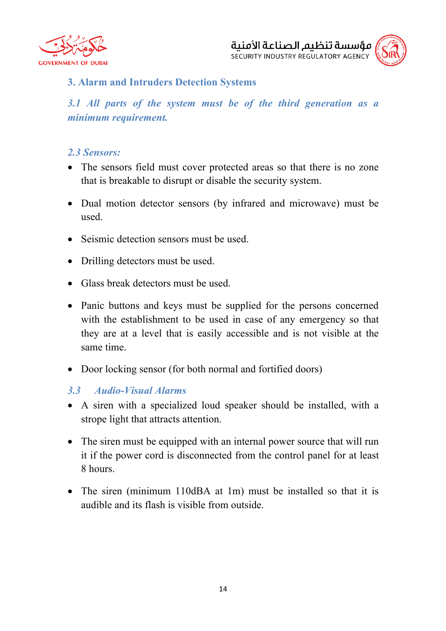



## **3. Alarm and Intruders Detection Systems**

*3.1 All parts of the system must be of the third generation as a minimum requirement.*

#### *2.3 Sensors:*

- The sensors field must cover protected areas so that there is no zone that is breakable to disrupt or disable the security system.
- Dual motion detector sensors (by infrared and microwave) must be used.
- Seismic detection sensors must be used.
- Drilling detectors must be used.
- Glass break detectors must be used.
- Panic buttons and keys must be supplied for the persons concerned with the establishment to be used in case of any emergency so that they are at a level that is easily accessible and is not visible at the same time.
- Door locking sensor (for both normal and fortified doors)

#### *3.3 Audio-Visual Alarms*

- A siren with a specialized loud speaker should be installed, with a strope light that attracts attention.
- The siren must be equipped with an internal power source that will run it if the power cord is disconnected from the control panel for at least 8 hours.
- The siren (minimum 110dBA at 1m) must be installed so that it is audible and its flash is visible from outside.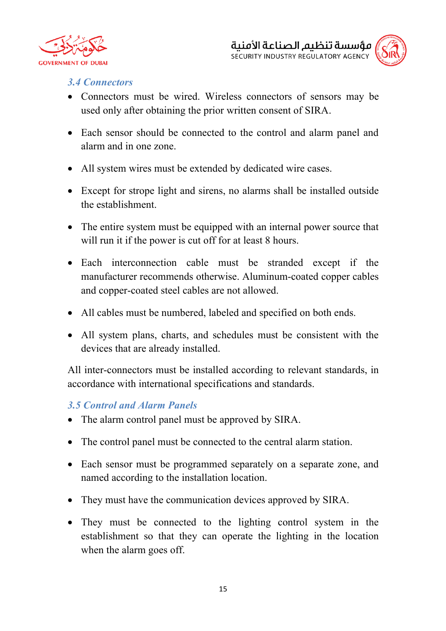



#### *3.4 Connectors*

- Connectors must be wired. Wireless connectors of sensors may be used only after obtaining the prior written consent of SIRA.
- Each sensor should be connected to the control and alarm panel and alarm and in one zone.
- All system wires must be extended by dedicated wire cases.
- Except for strope light and sirens, no alarms shall be installed outside the establishment.
- The entire system must be equipped with an internal power source that will run it if the power is cut off for at least 8 hours.
- Each interconnection cable must be stranded except if the manufacturer recommends otherwise. Aluminum-coated copper cables and copper-coated steel cables are not allowed.
- All cables must be numbered, labeled and specified on both ends.
- All system plans, charts, and schedules must be consistent with the devices that are already installed.

All inter-connectors must be installed according to relevant standards, in accordance with international specifications and standards.

#### *3.5 Control and Alarm Panels*

- The alarm control panel must be approved by SIRA.
- The control panel must be connected to the central alarm station.
- Each sensor must be programmed separately on a separate zone, and named according to the installation location.
- They must have the communication devices approved by SIRA.
- They must be connected to the lighting control system in the establishment so that they can operate the lighting in the location when the alarm goes off.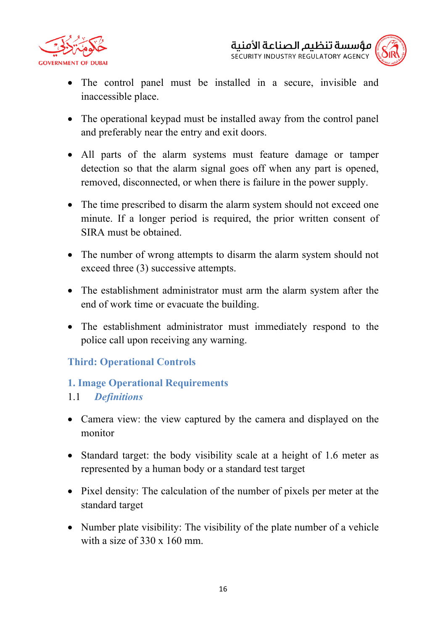



- The control panel must be installed in a secure, invisible and inaccessible place.
- The operational keypad must be installed away from the control panel and preferably near the entry and exit doors.
- All parts of the alarm systems must feature damage or tamper detection so that the alarm signal goes off when any part is opened, removed, disconnected, or when there is failure in the power supply.
- The time prescribed to disarm the alarm system should not exceed one minute. If a longer period is required, the prior written consent of SIRA must be obtained.
- The number of wrong attempts to disarm the alarm system should not exceed three (3) successive attempts.
- The establishment administrator must arm the alarm system after the end of work time or evacuate the building.
- The establishment administrator must immediately respond to the police call upon receiving any warning.

# **Third: Operational Controls**

## **1. Image Operational Requirements**

## 1.1 *Definitions*

- Camera view: the view captured by the camera and displayed on the monitor
- Standard target: the body visibility scale at a height of 1.6 meter as represented by a human body or a standard test target
- Pixel density: The calculation of the number of pixels per meter at the standard target
- Number plate visibility: The visibility of the plate number of a vehicle with a size of 330 x 160 mm.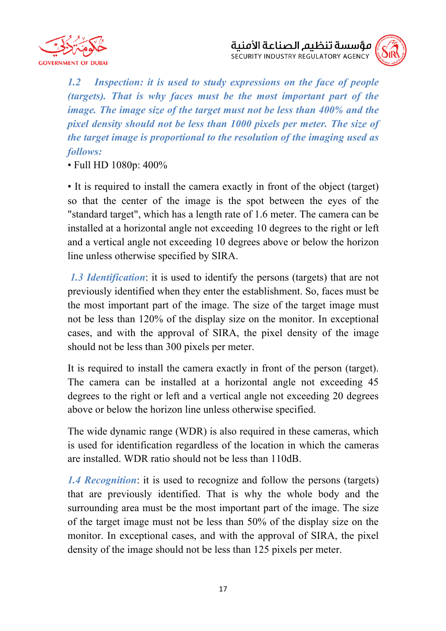



*1.2 Inspection: it is used to study expressions on the face of people (targets). That is why faces must be the most important part of the image. The image size of the target must not be less than 400% and the pixel density should not be less than 1000 pixels per meter. The size of the target image is proportional to the resolution of the imaging used as follows:*

• Full HD 1080p: 400%

• It is required to install the camera exactly in front of the object (target) so that the center of the image is the spot between the eyes of the "standard target", which has a length rate of 1.6 meter. The camera can be installed at a horizontal angle not exceeding 10 degrees to the right or left and a vertical angle not exceeding 10 degrees above or below the horizon line unless otherwise specified by SIRA.

*1.3 Identification*: it is used to identify the persons (targets) that are not previously identified when they enter the establishment. So, faces must be the most important part of the image. The size of the target image must not be less than 120% of the display size on the monitor. In exceptional cases, and with the approval of SIRA, the pixel density of the image should not be less than 300 pixels per meter.

It is required to install the camera exactly in front of the person (target). The camera can be installed at a horizontal angle not exceeding 45 degrees to the right or left and a vertical angle not exceeding 20 degrees above or below the horizon line unless otherwise specified.

The wide dynamic range (WDR) is also required in these cameras, which is used for identification regardless of the location in which the cameras are installed. WDR ratio should not be less than 110dB.

*1.4 Recognition*: it is used to recognize and follow the persons (targets) that are previously identified. That is why the whole body and the surrounding area must be the most important part of the image. The size of the target image must not be less than 50% of the display size on the monitor. In exceptional cases, and with the approval of SIRA, the pixel density of the image should not be less than 125 pixels per meter.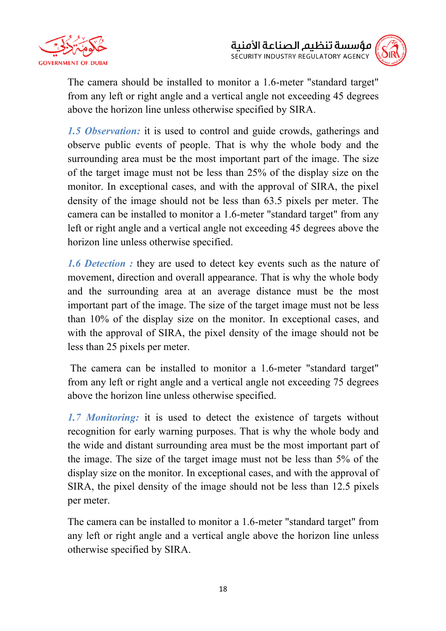



The camera should be installed to monitor a 1.6-meter "standard target" from any left or right angle and a vertical angle not exceeding 45 degrees above the horizon line unless otherwise specified by SIRA.

*1.5 Observation:* it is used to control and guide crowds, gatherings and observe public events of people. That is why the whole body and the surrounding area must be the most important part of the image. The size of the target image must not be less than 25% of the display size on the monitor. In exceptional cases, and with the approval of SIRA, the pixel density of the image should not be less than 63.5 pixels per meter. The camera can be installed to monitor a 1.6-meter "standard target" from any left or right angle and a vertical angle not exceeding 45 degrees above the horizon line unless otherwise specified.

*1.6 Detection :* they are used to detect key events such as the nature of movement, direction and overall appearance. That is why the whole body and the surrounding area at an average distance must be the most important part of the image. The size of the target image must not be less than 10% of the display size on the monitor. In exceptional cases, and with the approval of SIRA, the pixel density of the image should not be less than 25 pixels per meter.

The camera can be installed to monitor a 1.6-meter "standard target" from any left or right angle and a vertical angle not exceeding 75 degrees above the horizon line unless otherwise specified.

*1.7 Monitoring:* it is used to detect the existence of targets without recognition for early warning purposes. That is why the whole body and the wide and distant surrounding area must be the most important part of the image. The size of the target image must not be less than 5% of the display size on the monitor. In exceptional cases, and with the approval of SIRA, the pixel density of the image should not be less than 12.5 pixels per meter.

The camera can be installed to monitor a 1.6-meter "standard target" from any left or right angle and a vertical angle above the horizon line unless otherwise specified by SIRA.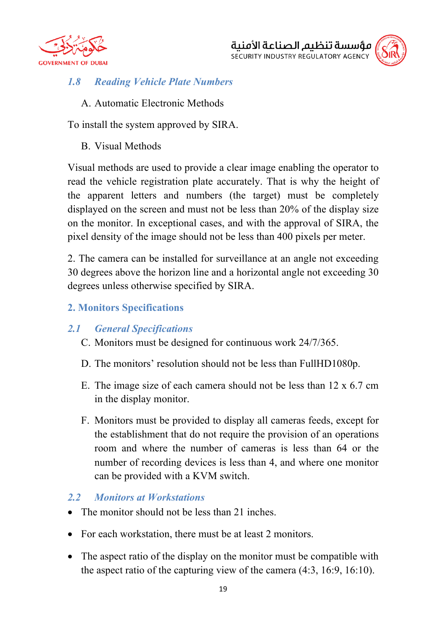



# *1.8 Reading Vehicle Plate Numbers*

A. Automatic Electronic Methods

To install the system approved by SIRA.

B. Visual Methods

Visual methods are used to provide a clear image enabling the operator to read the vehicle registration plate accurately. That is why the height of the apparent letters and numbers (the target) must be completely displayed on the screen and must not be less than 20% of the display size on the monitor. In exceptional cases, and with the approval of SIRA, the pixel density of the image should not be less than 400 pixels per meter.

2. The camera can be installed for surveillance at an angle not exceeding 30 degrees above the horizon line and a horizontal angle not exceeding 30 degrees unless otherwise specified by SIRA.

# **2. Monitors Specifications**

## *2.1 General Specifications*

- C. Monitors must be designed for continuous work 24/7/365.
- D. The monitors' resolution should not be less than FullHD1080p.
- E. The image size of each camera should not be less than 12 x 6.7 cm in the display monitor.
- F. Monitors must be provided to display all cameras feeds, except for the establishment that do not require the provision of an operations room and where the number of cameras is less than 64 or the number of recording devices is less than 4, and where one monitor can be provided with a KVM switch.

## *2.2 Monitors at Workstations*

- The monitor should not be less than 21 inches.
- For each workstation, there must be at least 2 monitors.
- The aspect ratio of the display on the monitor must be compatible with the aspect ratio of the capturing view of the camera (4:3, 16:9, 16:10).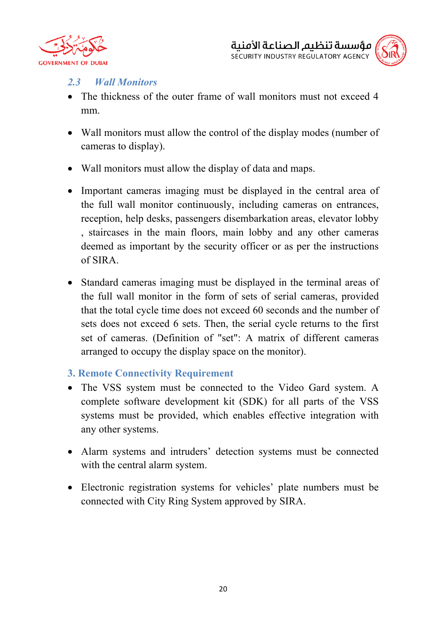



# *2.3 Wall Monitors*

- The thickness of the outer frame of wall monitors must not exceed 4 mm.
- Wall monitors must allow the control of the display modes (number of cameras to display).
- Wall monitors must allow the display of data and maps.
- Important cameras imaging must be displayed in the central area of the full wall monitor continuously, including cameras on entrances, reception, help desks, passengers disembarkation areas, elevator lobby , staircases in the main floors, main lobby and any other cameras deemed as important by the security officer or as per the instructions of SIRA.
- Standard cameras imaging must be displayed in the terminal areas of the full wall monitor in the form of sets of serial cameras, provided that the total cycle time does not exceed 60 seconds and the number of sets does not exceed 6 sets. Then, the serial cycle returns to the first set of cameras. (Definition of "set": A matrix of different cameras arranged to occupy the display space on the monitor).

## **3. Remote Connectivity Requirement**

- The VSS system must be connected to the Video Gard system. A complete software development kit (SDK) for all parts of the VSS systems must be provided, which enables effective integration with any other systems.
- Alarm systems and intruders' detection systems must be connected with the central alarm system.
- Electronic registration systems for vehicles' plate numbers must be connected with City Ring System approved by SIRA.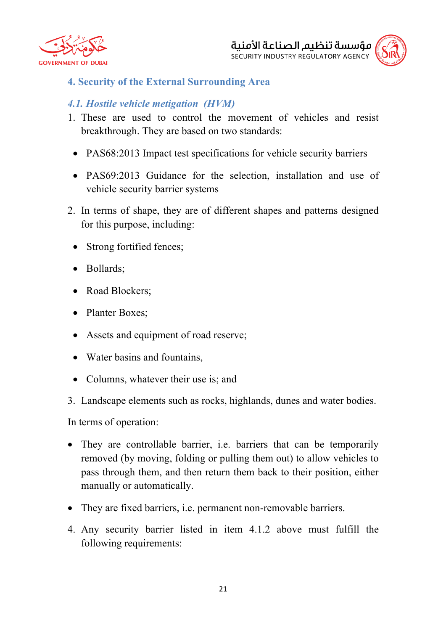



## **4. Security of the External Surrounding Area**

# *4.1. Hostile vehicle metigation (HVM)*

- 1. These are used to control the movement of vehicles and resist breakthrough. They are based on two standards:
	- PAS68:2013 Impact test specifications for vehicle security barriers
- PAS69:2013 Guidance for the selection, installation and use of vehicle security barrier systems
- 2. In terms of shape, they are of different shapes and patterns designed for this purpose, including:
	- Strong fortified fences;
	- Bollards;
	- Road Blockers;
	- Planter Boxes;
	- Assets and equipment of road reserve;
	- Water basins and fountains.
	- Columns, whatever their use is; and
- 3. Landscape elements such as rocks, highlands, dunes and water bodies.

In terms of operation:

- They are controllable barrier, i.e. barriers that can be temporarily removed (by moving, folding or pulling them out) to allow vehicles to pass through them, and then return them back to their position, either manually or automatically.
- They are fixed barriers, i.e. permanent non-removable barriers.
- 4. Any security barrier listed in item 4.1.2 above must fulfill the following requirements: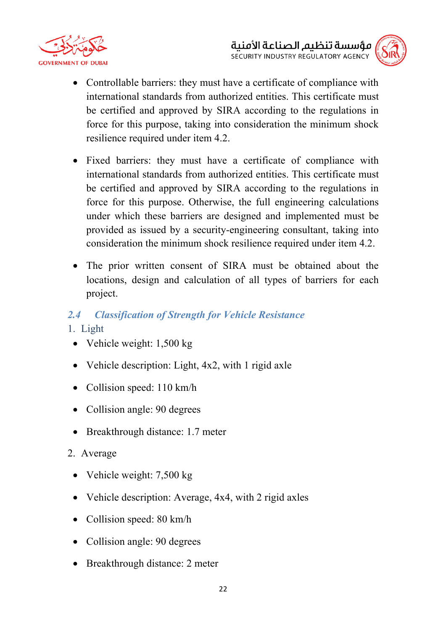



- Controllable barriers: they must have a certificate of compliance with international standards from authorized entities. This certificate must be certified and approved by SIRA according to the regulations in force for this purpose, taking into consideration the minimum shock resilience required under item 4.2.
- Fixed barriers: they must have a certificate of compliance with international standards from authorized entities. This certificate must be certified and approved by SIRA according to the regulations in force for this purpose. Otherwise, the full engineering calculations under which these barriers are designed and implemented must be provided as issued by a security-engineering consultant, taking into consideration the minimum shock resilience required under item 4.2.
- The prior written consent of SIRA must be obtained about the locations, design and calculation of all types of barriers for each project.
- *2.4 Classification of Strength for Vehicle Resistance*
- 1. Light
- Vehicle weight: 1,500 kg
- Vehicle description: Light, 4x2, with 1 rigid axle
- Collision speed: 110 km/h
- Collision angle: 90 degrees
- Breakthrough distance: 1.7 meter
- 2. Average
	- Vehicle weight: 7,500 kg
	- Vehicle description: Average, 4x4, with 2 rigid axles
	- Collision speed: 80 km/h
	- Collision angle: 90 degrees
	- Breakthrough distance: 2 meter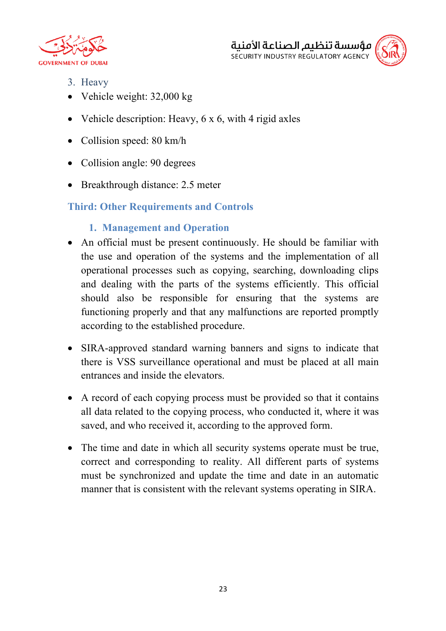



- 3. Heavy
- Vehicle weight: 32,000 kg
- Vehicle description: Heavy, 6 x 6, with 4 rigid axles
- Collision speed: 80 km/h
- Collision angle: 90 degrees
- Breakthrough distance: 2.5 meter

# **Third: Other Requirements and Controls**

- **1. Management and Operation**
- An official must be present continuously. He should be familiar with the use and operation of the systems and the implementation of all operational processes such as copying, searching, downloading clips and dealing with the parts of the systems efficiently. This official should also be responsible for ensuring that the systems are functioning properly and that any malfunctions are reported promptly according to the established procedure.
- SIRA-approved standard warning banners and signs to indicate that there is VSS surveillance operational and must be placed at all main entrances and inside the elevators.
- A record of each copying process must be provided so that it contains all data related to the copying process, who conducted it, where it was saved, and who received it, according to the approved form.
- The time and date in which all security systems operate must be true, correct and corresponding to reality. All different parts of systems must be synchronized and update the time and date in an automatic manner that is consistent with the relevant systems operating in SIRA.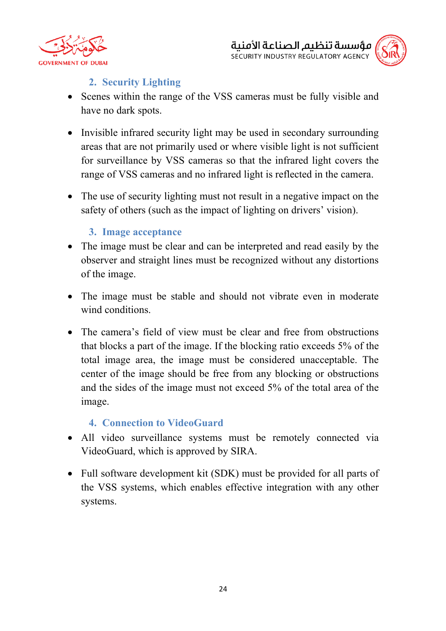



# **2. Security Lighting**

- Scenes within the range of the VSS cameras must be fully visible and have no dark spots.
- Invisible infrared security light may be used in secondary surrounding areas that are not primarily used or where visible light is not sufficient for surveillance by VSS cameras so that the infrared light covers the range of VSS cameras and no infrared light is reflected in the camera.
- The use of security lighting must not result in a negative impact on the safety of others (such as the impact of lighting on drivers' vision).

## **3. Image acceptance**

- The image must be clear and can be interpreted and read easily by the observer and straight lines must be recognized without any distortions of the image.
- The image must be stable and should not vibrate even in moderate wind conditions
- The camera's field of view must be clear and free from obstructions that blocks a part of the image. If the blocking ratio exceeds 5% of the total image area, the image must be considered unacceptable. The center of the image should be free from any blocking or obstructions and the sides of the image must not exceed 5% of the total area of the image.

#### **4. Connection to VideoGuard**

- All video surveillance systems must be remotely connected via VideoGuard, which is approved by SIRA.
- Full software development kit (SDK) must be provided for all parts of the VSS systems, which enables effective integration with any other systems.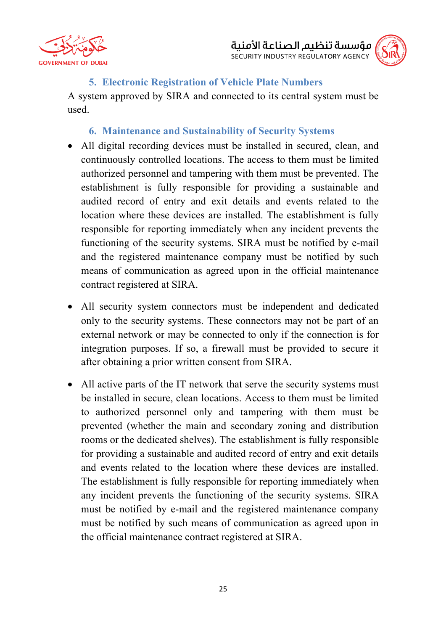



### **5. Electronic Registration of Vehicle Plate Numbers**

A system approved by SIRA and connected to its central system must be used.

#### **6. Maintenance and Sustainability of Security Systems**

- All digital recording devices must be installed in secured, clean, and continuously controlled locations. The access to them must be limited authorized personnel and tampering with them must be prevented. The establishment is fully responsible for providing a sustainable and audited record of entry and exit details and events related to the location where these devices are installed. The establishment is fully responsible for reporting immediately when any incident prevents the functioning of the security systems. SIRA must be notified by e-mail and the registered maintenance company must be notified by such means of communication as agreed upon in the official maintenance contract registered at SIRA.
- All security system connectors must be independent and dedicated only to the security systems. These connectors may not be part of an external network or may be connected to only if the connection is for integration purposes. If so, a firewall must be provided to secure it after obtaining a prior written consent from SIRA.
- All active parts of the IT network that serve the security systems must be installed in secure, clean locations. Access to them must be limited to authorized personnel only and tampering with them must be prevented (whether the main and secondary zoning and distribution rooms or the dedicated shelves). The establishment is fully responsible for providing a sustainable and audited record of entry and exit details and events related to the location where these devices are installed. The establishment is fully responsible for reporting immediately when any incident prevents the functioning of the security systems. SIRA must be notified by e-mail and the registered maintenance company must be notified by such means of communication as agreed upon in the official maintenance contract registered at SIRA.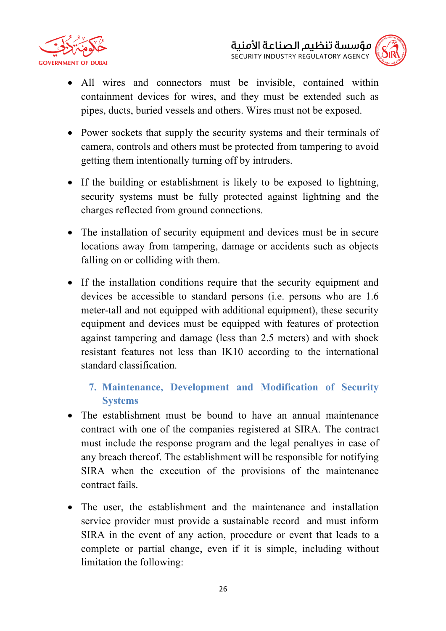



- All wires and connectors must be invisible, contained within containment devices for wires, and they must be extended such as pipes, ducts, buried vessels and others. Wires must not be exposed.
- Power sockets that supply the security systems and their terminals of camera, controls and others must be protected from tampering to avoid getting them intentionally turning off by intruders.
- If the building or establishment is likely to be exposed to lightning, security systems must be fully protected against lightning and the charges reflected from ground connections.
- The installation of security equipment and devices must be in secure locations away from tampering, damage or accidents such as objects falling on or colliding with them.
- If the installation conditions require that the security equipment and devices be accessible to standard persons (i.e. persons who are 1.6 meter-tall and not equipped with additional equipment), these security equipment and devices must be equipped with features of protection against tampering and damage (less than 2.5 meters) and with shock resistant features not less than IK10 according to the international standard classification.

# **7. Maintenance, Development and Modification of Security Systems**

- The establishment must be bound to have an annual maintenance contract with one of the companies registered at SIRA. The contract must include the response program and the legal penaltyes in case of any breach thereof. The establishment will be responsible for notifying SIRA when the execution of the provisions of the maintenance contract fails.
- The user, the establishment and the maintenance and installation service provider must provide a sustainable record and must inform SIRA in the event of any action, procedure or event that leads to a complete or partial change, even if it is simple, including without limitation the following: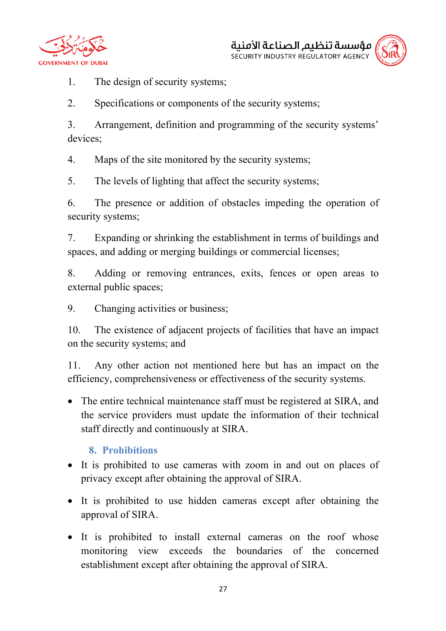





1. The design of security systems;

2. Specifications or components of the security systems;

3. Arrangement, definition and programming of the security systems' devices;

4. Maps of the site monitored by the security systems;

5. The levels of lighting that affect the security systems;

6. The presence or addition of obstacles impeding the operation of security systems;

7. Expanding or shrinking the establishment in terms of buildings and spaces, and adding or merging buildings or commercial licenses;

8. Adding or removing entrances, exits, fences or open areas to external public spaces;

9. Changing activities or business;

10. The existence of adjacent projects of facilities that have an impact on the security systems; and

11. Any other action not mentioned here but has an impact on the efficiency, comprehensiveness or effectiveness of the security systems.

• The entire technical maintenance staff must be registered at SIRA, and the service providers must update the information of their technical staff directly and continuously at SIRA.

# **8. Prohibitions**

- It is prohibited to use cameras with zoom in and out on places of privacy except after obtaining the approval of SIRA.
- It is prohibited to use hidden cameras except after obtaining the approval of SIRA.
- It is prohibited to install external cameras on the roof whose monitoring view exceeds the boundaries of the concerned establishment except after obtaining the approval of SIRA.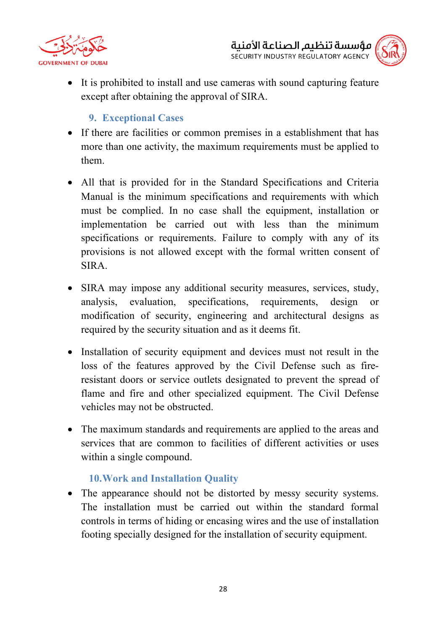



• It is prohibited to install and use cameras with sound capturing feature except after obtaining the approval of SIRA.

# **9. Exceptional Cases**

- If there are facilities or common premises in a establishment that has more than one activity, the maximum requirements must be applied to them.
- All that is provided for in the Standard Specifications and Criteria Manual is the minimum specifications and requirements with which must be complied. In no case shall the equipment, installation or implementation be carried out with less than the minimum specifications or requirements. Failure to comply with any of its provisions is not allowed except with the formal written consent of SIRA.
- SIRA may impose any additional security measures, services, study, analysis, evaluation, specifications, requirements, design or modification of security, engineering and architectural designs as required by the security situation and as it deems fit.
- Installation of security equipment and devices must not result in the loss of the features approved by the Civil Defense such as fireresistant doors or service outlets designated to prevent the spread of flame and fire and other specialized equipment. The Civil Defense vehicles may not be obstructed.
- The maximum standards and requirements are applied to the areas and services that are common to facilities of different activities or uses within a single compound.

## **10.Work and Installation Quality**

• The appearance should not be distorted by messy security systems. The installation must be carried out within the standard formal controls in terms of hiding or encasing wires and the use of installation footing specially designed for the installation of security equipment.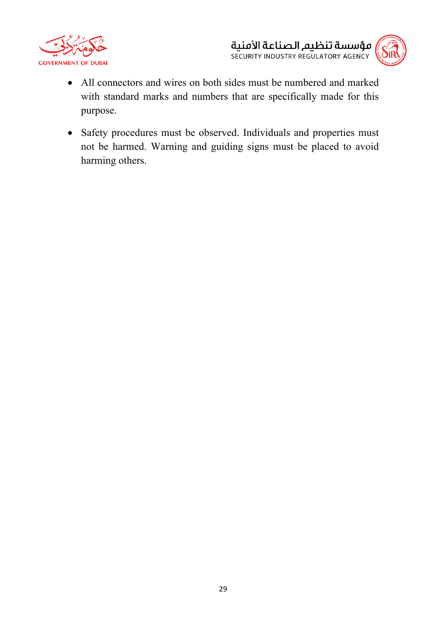



- All connectors and wires on both sides must be numbered and marked with standard marks and numbers that are specifically made for this purpose.
- Safety procedures must be observed. Individuals and properties must not be harmed. Warning and guiding signs must be placed to avoid harming others.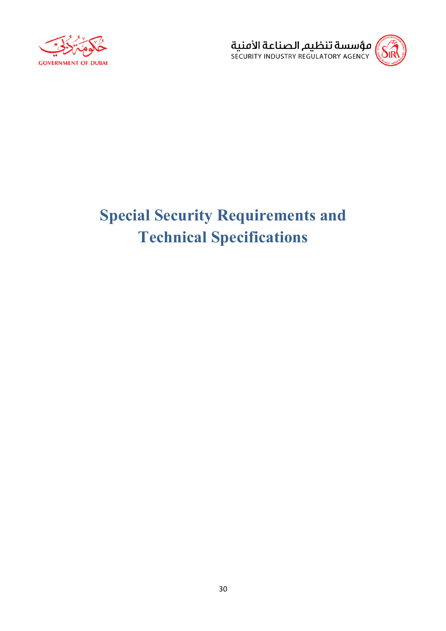



# **Special Security Requirements and Technical Specifications**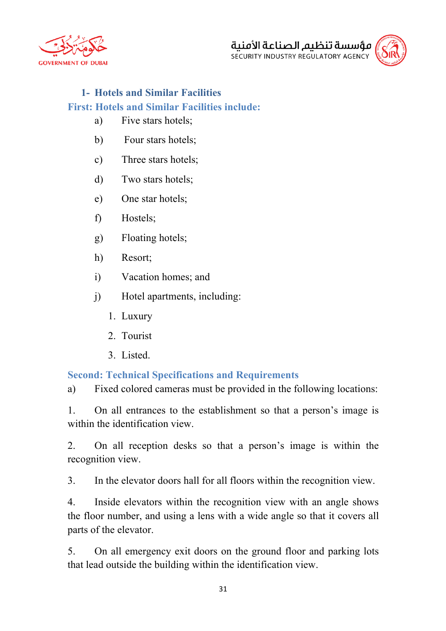





# **1- Hotels and Similar Facilities First: Hotels and Similar Facilities include:**

- a) Five stars hotels;
- b) Four stars hotels;
- c) Three stars hotels;
- d) Two stars hotels;
- e) One star hotels;
- f) Hostels;
- g) Floating hotels;
- h) Resort;
- i) Vacation homes; and
- j) Hotel apartments, including:
	- 1. Luxury
	- 2. Tourist
	- 3. Listed.

# **Second: Technical Specifications and Requirements**

a) Fixed colored cameras must be provided in the following locations:

1. On all entrances to the establishment so that a person's image is within the identification view.

2. On all reception desks so that a person's image is within the recognition view.

3. In the elevator doors hall for all floors within the recognition view.

4. Inside elevators within the recognition view with an angle shows the floor number, and using a lens with a wide angle so that it covers all parts of the elevator.

5. On all emergency exit doors on the ground floor and parking lots that lead outside the building within the identification view.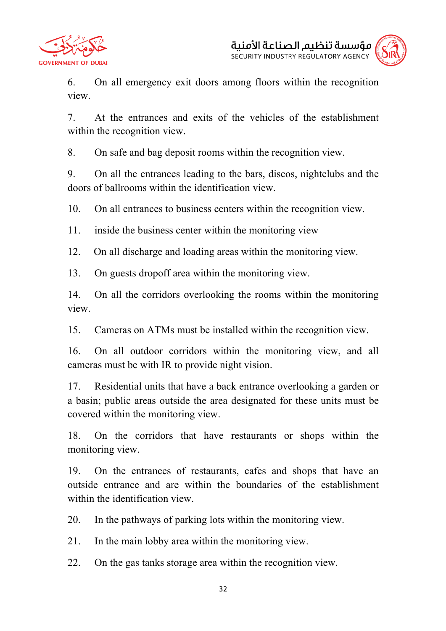



6. On all emergency exit doors among floors within the recognition view.

7. At the entrances and exits of the vehicles of the establishment within the recognition view.

8. On safe and bag deposit rooms within the recognition view.

9. On all the entrances leading to the bars, discos, nightclubs and the doors of ballrooms within the identification view.

10. On all entrances to business centers within the recognition view.

11. inside the business center within the monitoring view

12. On all discharge and loading areas within the monitoring view.

13. On guests dropoff area within the monitoring view.

14. On all the corridors overlooking the rooms within the monitoring view.

15. Cameras on ATMs must be installed within the recognition view.

16. On all outdoor corridors within the monitoring view, and all cameras must be with IR to provide night vision.

17. Residential units that have a back entrance overlooking a garden or a basin; public areas outside the area designated for these units must be covered within the monitoring view.

18. On the corridors that have restaurants or shops within the monitoring view.

19. On the entrances of restaurants, cafes and shops that have an outside entrance and are within the boundaries of the establishment within the identification view.

20. In the pathways of parking lots within the monitoring view.

21. In the main lobby area within the monitoring view.

22. On the gas tanks storage area within the recognition view.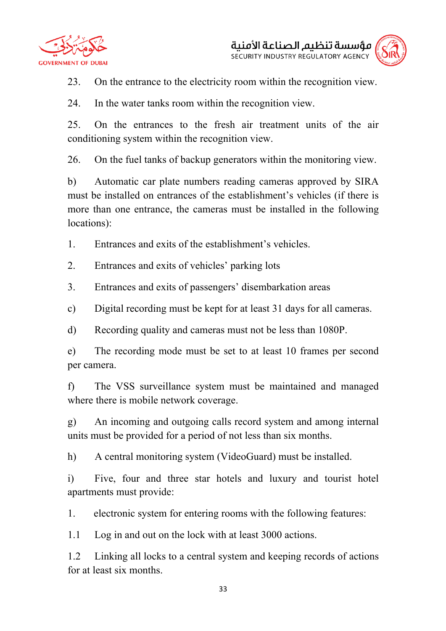



23. On the entrance to the electricity room within the recognition view.

24. In the water tanks room within the recognition view.

25. On the entrances to the fresh air treatment units of the air conditioning system within the recognition view.

26. On the fuel tanks of backup generators within the monitoring view.

b) Automatic car plate numbers reading cameras approved by SIRA must be installed on entrances of the establishment's vehicles (if there is more than one entrance, the cameras must be installed in the following locations):

1. Entrances and exits of the establishment's vehicles.

2. Entrances and exits of vehicles' parking lots

3. Entrances and exits of passengers' disembarkation areas

c) Digital recording must be kept for at least 31 days for all cameras.

d) Recording quality and cameras must not be less than 1080P.

e) The recording mode must be set to at least 10 frames per second per camera.

f) The VSS surveillance system must be maintained and managed where there is mobile network coverage.

g) An incoming and outgoing calls record system and among internal units must be provided for a period of not less than six months.

h) A central monitoring system (VideoGuard) must be installed.

i) Five, four and three star hotels and luxury and tourist hotel apartments must provide:

1. electronic system for entering rooms with the following features:

1.1 Log in and out on the lock with at least 3000 actions.

1.2 Linking all locks to a central system and keeping records of actions for at least six months.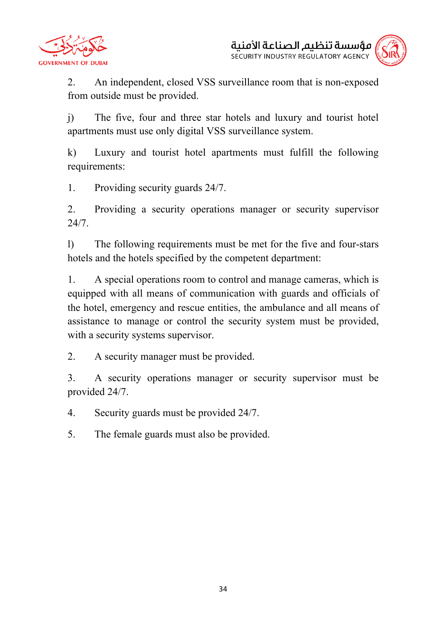



2. An independent, closed VSS surveillance room that is non-exposed from outside must be provided.

j) The five, four and three star hotels and luxury and tourist hotel apartments must use only digital VSS surveillance system.

k) Luxury and tourist hotel apartments must fulfill the following requirements:

1. Providing security guards 24/7.

2. Providing a security operations manager or security supervisor 24/7.

l) The following requirements must be met for the five and four-stars hotels and the hotels specified by the competent department:

1. A special operations room to control and manage cameras, which is equipped with all means of communication with guards and officials of the hotel, emergency and rescue entities, the ambulance and all means of assistance to manage or control the security system must be provided, with a security systems supervisor.

2. A security manager must be provided.

3. A security operations manager or security supervisor must be provided 24/7.

4. Security guards must be provided 24/7.

5. The female guards must also be provided.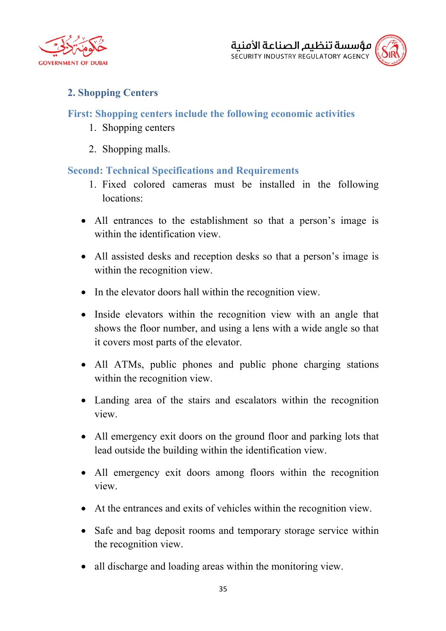



# **2. Shopping Centers**

#### **First: Shopping centers include the following economic activities**

- 1. Shopping centers
- 2. Shopping malls.

#### **Second: Technical Specifications and Requirements**

- 1. Fixed colored cameras must be installed in the following locations:
- All entrances to the establishment so that a person's image is within the identification view.
- All assisted desks and reception desks so that a person's image is within the recognition view.
- In the elevator doors hall within the recognition view.
- Inside elevators within the recognition view with an angle that shows the floor number, and using a lens with a wide angle so that it covers most parts of the elevator.
- All ATMs, public phones and public phone charging stations within the recognition view.
- Landing area of the stairs and escalators within the recognition view.
- All emergency exit doors on the ground floor and parking lots that lead outside the building within the identification view.
- All emergency exit doors among floors within the recognition view.
- At the entrances and exits of vehicles within the recognition view.
- Safe and bag deposit rooms and temporary storage service within the recognition view.
- all discharge and loading areas within the monitoring view.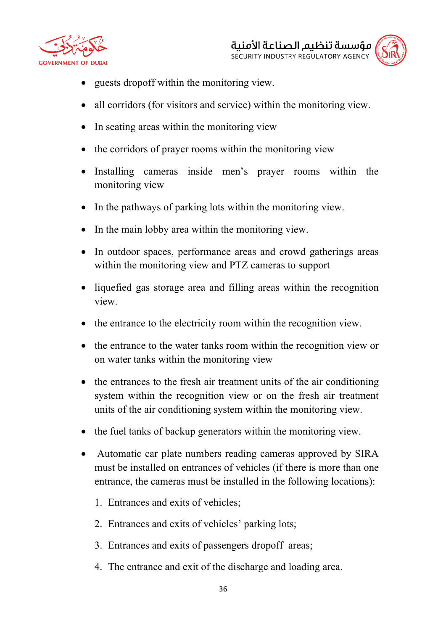



- guests dropoff within the monitoring view.
- all corridors (for visitors and service) within the monitoring view.
- In seating areas within the monitoring view
- the corridors of prayer rooms within the monitoring view
- Installing cameras inside men's prayer rooms within the monitoring view
- In the pathways of parking lots within the monitoring view.
- In the main lobby area within the monitoring view.
- In outdoor spaces, performance areas and crowd gatherings areas within the monitoring view and PTZ cameras to support
- liquefied gas storage area and filling areas within the recognition view.
- the entrance to the electricity room within the recognition view.
- the entrance to the water tanks room within the recognition view or on water tanks within the monitoring view
- the entrances to the fresh air treatment units of the air conditioning system within the recognition view or on the fresh air treatment units of the air conditioning system within the monitoring view.
- the fuel tanks of backup generators within the monitoring view.
- Automatic car plate numbers reading cameras approved by SIRA must be installed on entrances of vehicles (if there is more than one entrance, the cameras must be installed in the following locations):
	- 1. Entrances and exits of vehicles;
	- 2. Entrances and exits of vehicles' parking lots;
	- 3. Entrances and exits of passengers dropoff areas;
	- 4. The entrance and exit of the discharge and loading area.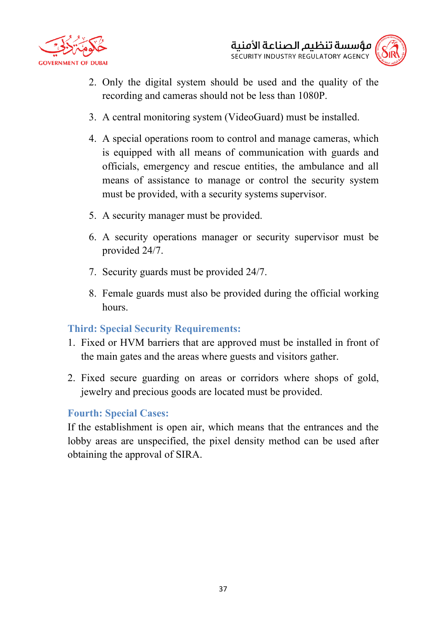



- 2. Only the digital system should be used and the quality of the recording and cameras should not be less than 1080P.
- 3. A central monitoring system (VideoGuard) must be installed.
- 4. A special operations room to control and manage cameras, which is equipped with all means of communication with guards and officials, emergency and rescue entities, the ambulance and all means of assistance to manage or control the security system must be provided, with a security systems supervisor.
- 5. A security manager must be provided.
- 6. A security operations manager or security supervisor must be provided 24/7.
- 7. Security guards must be provided 24/7.
- 8. Female guards must also be provided during the official working hours.

#### **Third: Special Security Requirements:**

- 1. Fixed or HVM barriers that are approved must be installed in front of the main gates and the areas where guests and visitors gather.
- 2. Fixed secure guarding on areas or corridors where shops of gold, jewelry and precious goods are located must be provided.

#### **Fourth: Special Cases:**

If the establishment is open air, which means that the entrances and the lobby areas are unspecified, the pixel density method can be used after obtaining the approval of SIRA.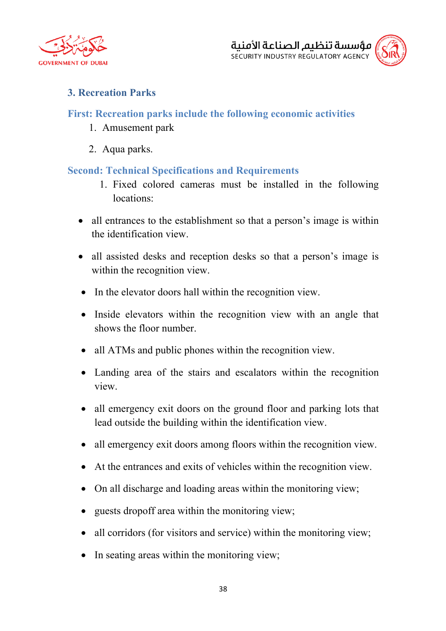



# **3. Recreation Parks**

### **First: Recreation parks include the following economic activities**

- 1. Amusement park
- 2. Aqua parks.

### **Second: Technical Specifications and Requirements**

- 1. Fixed colored cameras must be installed in the following locations:
- all entrances to the establishment so that a person's image is within the identification view.
- all assisted desks and reception desks so that a person's image is within the recognition view.
- In the elevator doors hall within the recognition view.
- Inside elevators within the recognition view with an angle that shows the floor number.
- all ATMs and public phones within the recognition view.
- Landing area of the stairs and escalators within the recognition view.
- all emergency exit doors on the ground floor and parking lots that lead outside the building within the identification view.
- all emergency exit doors among floors within the recognition view.
- At the entrances and exits of vehicles within the recognition view.
- On all discharge and loading areas within the monitoring view;
- guests dropoff area within the monitoring view;
- all corridors (for visitors and service) within the monitoring view;
- In seating areas within the monitoring view;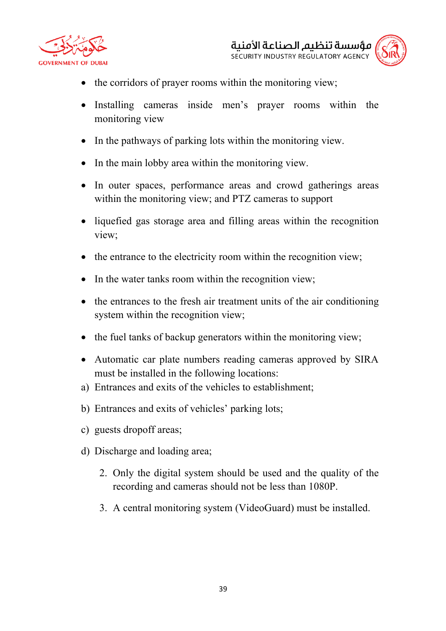



- the corridors of prayer rooms within the monitoring view;
- Installing cameras inside men's prayer rooms within the monitoring view
- In the pathways of parking lots within the monitoring view.
- In the main lobby area within the monitoring view.
- In outer spaces, performance areas and crowd gatherings areas within the monitoring view; and PTZ cameras to support
- liquefied gas storage area and filling areas within the recognition view;
- the entrance to the electricity room within the recognition view;
- In the water tanks room within the recognition view;
- the entrances to the fresh air treatment units of the air conditioning system within the recognition view;
- the fuel tanks of backup generators within the monitoring view;
- Automatic car plate numbers reading cameras approved by SIRA must be installed in the following locations:
- a) Entrances and exits of the vehicles to establishment;
- b) Entrances and exits of vehicles' parking lots;
- c) guests dropoff areas;
- d) Discharge and loading area;
	- 2. Only the digital system should be used and the quality of the recording and cameras should not be less than 1080P.
	- 3. A central monitoring system (VideoGuard) must be installed.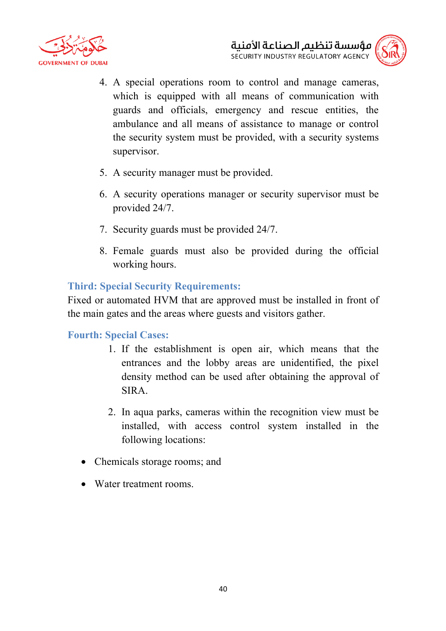



- 4. A special operations room to control and manage cameras, which is equipped with all means of communication with guards and officials, emergency and rescue entities, the ambulance and all means of assistance to manage or control the security system must be provided, with a security systems supervisor.
- 5. A security manager must be provided.
- 6. A security operations manager or security supervisor must be provided 24/7.
- 7. Security guards must be provided 24/7.
- 8. Female guards must also be provided during the official working hours.

### **Third: Special Security Requirements:**

Fixed or automated HVM that are approved must be installed in front of the main gates and the areas where guests and visitors gather.

#### **Fourth: Special Cases:**

- 1. If the establishment is open air, which means that the entrances and the lobby areas are unidentified, the pixel density method can be used after obtaining the approval of SIRA.
- 2. In aqua parks, cameras within the recognition view must be installed, with access control system installed in the following locations:
- Chemicals storage rooms; and
- Water treatment rooms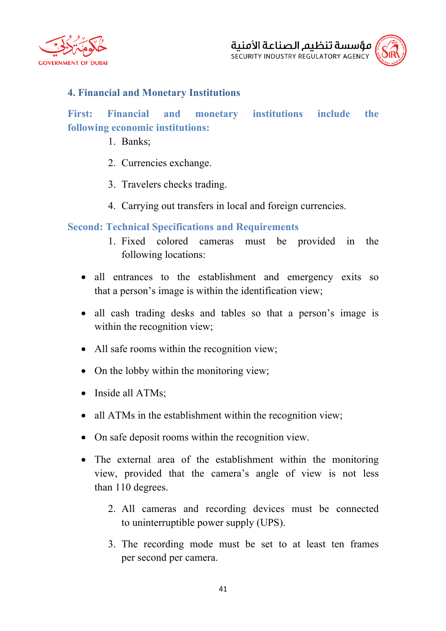

# **4. Financial and Monetary Institutions**

# **First: Financial and monetary institutions include the following economic institutions:**

- 1. Banks;
- 2. Currencies exchange.
- 3. Travelers checks trading.
- 4. Carrying out transfers in local and foreign currencies.

### **Second: Technical Specifications and Requirements**

- 1. Fixed colored cameras must be provided in the following locations:
- all entrances to the establishment and emergency exits so that a person's image is within the identification view;
- all cash trading desks and tables so that a person's image is within the recognition view;
- All safe rooms within the recognition view;
- On the lobby within the monitoring view;
- Inside all ATMs;
- all ATMs in the establishment within the recognition view;
- On safe deposit rooms within the recognition view.
- The external area of the establishment within the monitoring view, provided that the camera's angle of view is not less than 110 degrees.
	- 2. All cameras and recording devices must be connected to uninterruptible power supply (UPS).
	- 3. The recording mode must be set to at least ten frames per second per camera.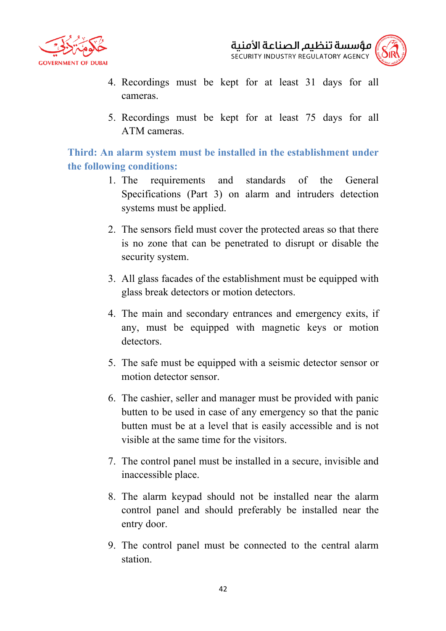

مؤسسة تنظيم الصناعة الأمنية SECURITY INDUSTRY REGULATORY AGENCY

- 4. Recordings must be kept for at least 31 days for all cameras.
- 5. Recordings must be kept for at least 75 days for all ATM cameras.

**Third: An alarm system must be installed in the establishment under the following conditions:**

- 1. The requirements and standards of the General Specifications (Part 3) on alarm and intruders detection systems must be applied.
- 2. The sensors field must cover the protected areas so that there is no zone that can be penetrated to disrupt or disable the security system.
- 3. All glass facades of the establishment must be equipped with glass break detectors or motion detectors.
- 4. The main and secondary entrances and emergency exits, if any, must be equipped with magnetic keys or motion detectors.
- 5. The safe must be equipped with a seismic detector sensor or motion detector sensor.
- 6. The cashier, seller and manager must be provided with panic butten to be used in case of any emergency so that the panic butten must be at a level that is easily accessible and is not visible at the same time for the visitors.
- 7. The control panel must be installed in a secure, invisible and inaccessible place.
- 8. The alarm keypad should not be installed near the alarm control panel and should preferably be installed near the entry door.
- 9. The control panel must be connected to the central alarm station.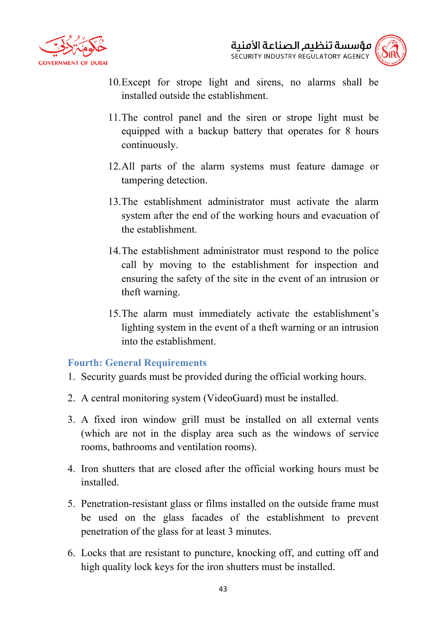



- 10.Except for strope light and sirens, no alarms shall be installed outside the establishment.
- 11.The control panel and the siren or strope light must be equipped with a backup battery that operates for 8 hours continuously.
- 12.All parts of the alarm systems must feature damage or tampering detection.
- 13.The establishment administrator must activate the alarm system after the end of the working hours and evacuation of the establishment.
- 14.The establishment administrator must respond to the police call by moving to the establishment for inspection and ensuring the safety of the site in the event of an intrusion or theft warning.
- 15.The alarm must immediately activate the establishment's lighting system in the event of a theft warning or an intrusion into the establishment.

#### **Fourth: General Requirements**

- 1. Security guards must be provided during the official working hours.
- 2. A central monitoring system (VideoGuard) must be installed.
- 3. A fixed iron window grill must be installed on all external vents (which are not in the display area such as the windows of service rooms, bathrooms and ventilation rooms).
- 4. Iron shutters that are closed after the official working hours must be installed.
- 5. Penetration-resistant glass or films installed on the outside frame must be used on the glass facades of the establishment to prevent penetration of the glass for at least 3 minutes.
- 6. Locks that are resistant to puncture, knocking off, and cutting off and high quality lock keys for the iron shutters must be installed.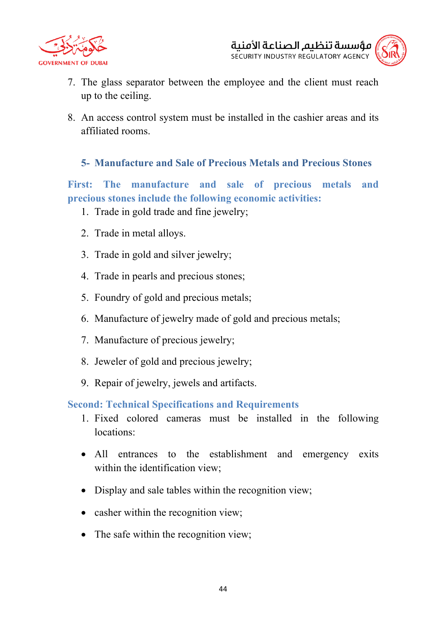



- 7. The glass separator between the employee and the client must reach up to the ceiling.
- 8. An access control system must be installed in the cashier areas and its affiliated rooms.

# **5- Manufacture and Sale of Precious Metals and Precious Stones**

**First: The manufacture and sale of precious metals and precious stones include the following economic activities:**

- 1. Trade in gold trade and fine jewelry;
- 2. Trade in metal alloys.
- 3. Trade in gold and silver jewelry;
- 4. Trade in pearls and precious stones;
- 5. Foundry of gold and precious metals;
- 6. Manufacture of jewelry made of gold and precious metals;
- 7. Manufacture of precious jewelry;
- 8. Jeweler of gold and precious jewelry;
- 9. Repair of jewelry, jewels and artifacts.

**Second: Technical Specifications and Requirements**

- 1. Fixed colored cameras must be installed in the following locations:
- All entrances to the establishment and emergency exits within the identification view;
- Display and sale tables within the recognition view;
- casher within the recognition view;
- The safe within the recognition view;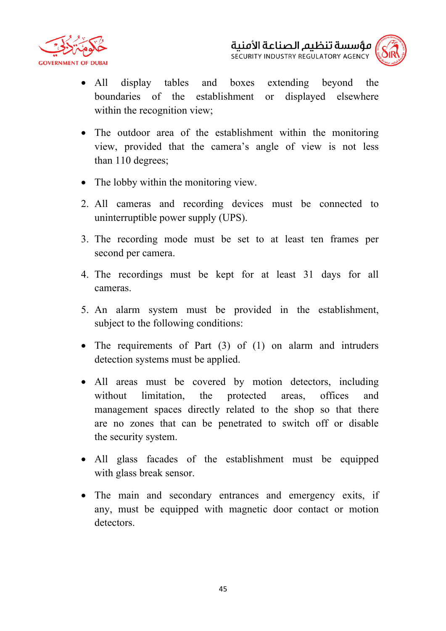



- All display tables and boxes extending beyond the boundaries of the establishment or displayed elsewhere within the recognition view;
- The outdoor area of the establishment within the monitoring view, provided that the camera's angle of view is not less than 110 degrees;
- The lobby within the monitoring view.
- 2. All cameras and recording devices must be connected to uninterruptible power supply (UPS).
- 3. The recording mode must be set to at least ten frames per second per camera.
- 4. The recordings must be kept for at least 31 days for all cameras.
- 5. An alarm system must be provided in the establishment, subject to the following conditions:
- The requirements of Part (3) of (1) on alarm and intruders detection systems must be applied.
- All areas must be covered by motion detectors, including without limitation, the protected areas, offices and management spaces directly related to the shop so that there are no zones that can be penetrated to switch off or disable the security system.
- All glass facades of the establishment must be equipped with glass break sensor.
- The main and secondary entrances and emergency exits, if any, must be equipped with magnetic door contact or motion detectors.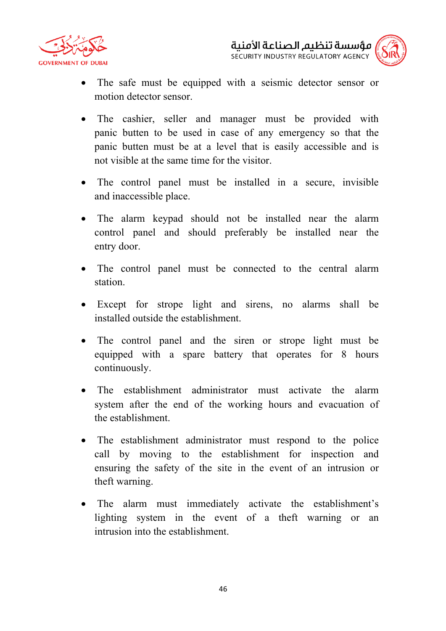



- The safe must be equipped with a seismic detector sensor or motion detector sensor.
- The cashier, seller and manager must be provided with panic butten to be used in case of any emergency so that the panic butten must be at a level that is easily accessible and is not visible at the same time for the visitor.
- The control panel must be installed in a secure, invisible and inaccessible place.
- The alarm keypad should not be installed near the alarm control panel and should preferably be installed near the entry door.
- The control panel must be connected to the central alarm station.
- Except for strope light and sirens, no alarms shall be installed outside the establishment.
- The control panel and the siren or strope light must be equipped with a spare battery that operates for 8 hours continuously.
- The establishment administrator must activate the alarm system after the end of the working hours and evacuation of the establishment.
- The establishment administrator must respond to the police call by moving to the establishment for inspection and ensuring the safety of the site in the event of an intrusion or theft warning.
- The alarm must immediately activate the establishment's lighting system in the event of a theft warning or an intrusion into the establishment.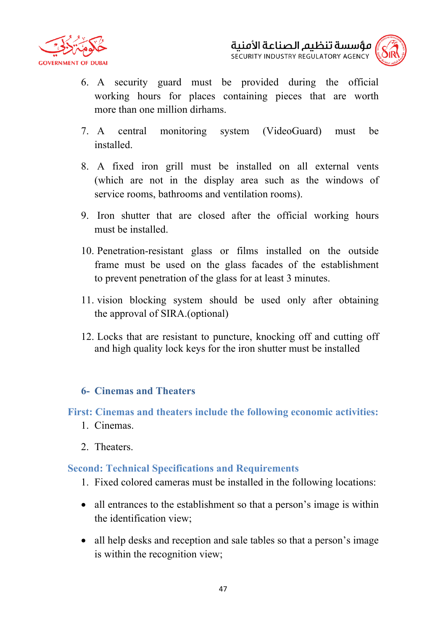



- 6. A security guard must be provided during the official working hours for places containing pieces that are worth more than one million dirhams.
- 7. A central monitoring system (VideoGuard) must be installed.
- 8. A fixed iron grill must be installed on all external vents (which are not in the display area such as the windows of service rooms, bathrooms and ventilation rooms).
- 9. Iron shutter that are closed after the official working hours must be installed.
- 10. Penetration-resistant glass or films installed on the outside frame must be used on the glass facades of the establishment to prevent penetration of the glass for at least 3 minutes.
- 11. vision blocking system should be used only after obtaining the approval of SIRA.(optional)
- 12. Locks that are resistant to puncture, knocking off and cutting off and high quality lock keys for the iron shutter must be installed

# **6- Cinemas and Theaters**

**First: Cinemas and theaters include the following economic activities:**

- 1. Cinemas.
- 2. Theaters.

#### **Second: Technical Specifications and Requirements**

- 1. Fixed colored cameras must be installed in the following locations:
- all entrances to the establishment so that a person's image is within the identification view;
- all help desks and reception and sale tables so that a person's image is within the recognition view;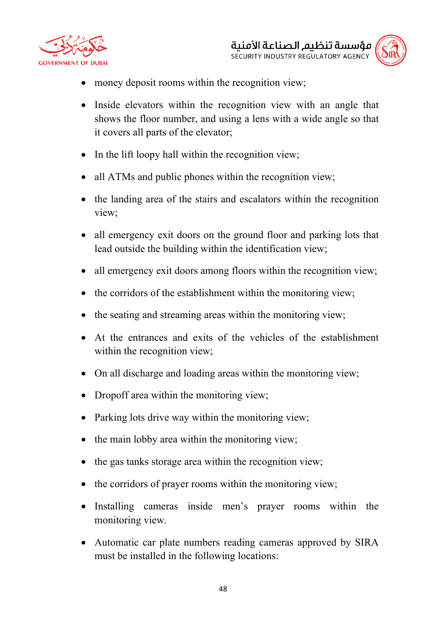



- money deposit rooms within the recognition view;
- Inside elevators within the recognition view with an angle that shows the floor number, and using a lens with a wide angle so that it covers all parts of the elevator;
- In the lift loopy hall within the recognition view;
- all ATMs and public phones within the recognition view;
- the landing area of the stairs and escalators within the recognition view;
- all emergency exit doors on the ground floor and parking lots that lead outside the building within the identification view;
- all emergency exit doors among floors within the recognition view;
- the corridors of the establishment within the monitoring view;
- the seating and streaming areas within the monitoring view;
- At the entrances and exits of the vehicles of the establishment within the recognition view;
- On all discharge and loading areas within the monitoring view;
- Dropoff area within the monitoring view;
- Parking lots drive way within the monitoring view;
- the main lobby area within the monitoring view;
- the gas tanks storage area within the recognition view;
- the corridors of prayer rooms within the monitoring view;
- Installing cameras inside men's prayer rooms within the monitoring view.
- Automatic car plate numbers reading cameras approved by SIRA must be installed in the following locations: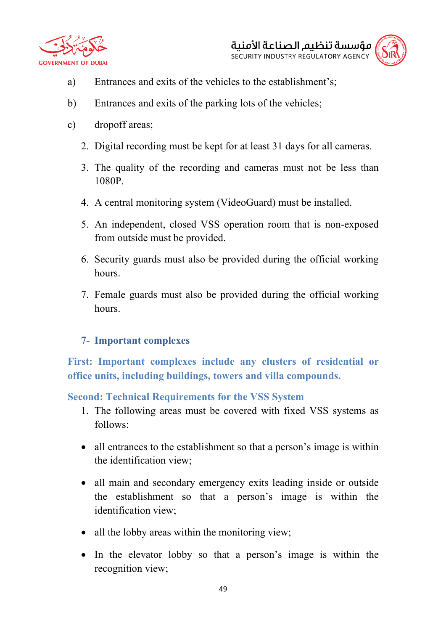



- 
- a) Entrances and exits of the vehicles to the establishment's;
- b) Entrances and exits of the parking lots of the vehicles;
- c) dropoff areas;
	- 2. Digital recording must be kept for at least 31 days for all cameras.
	- 3. The quality of the recording and cameras must not be less than 1080P.
	- 4. A central monitoring system (VideoGuard) must be installed.
	- 5. An independent, closed VSS operation room that is non-exposed from outside must be provided.
	- 6. Security guards must also be provided during the official working hours.
	- 7. Female guards must also be provided during the official working hours.

# **7- Important complexes**

**First: Important complexes include any clusters of residential or office units, including buildings, towers and villa compounds.**

**Second: Technical Requirements for the VSS System**

- 1. The following areas must be covered with fixed VSS systems as follows:
- all entrances to the establishment so that a person's image is within the identification view;
- all main and secondary emergency exits leading inside or outside the establishment so that a person's image is within the identification view;
- all the lobby areas within the monitoring view;
- In the elevator lobby so that a person's image is within the recognition view;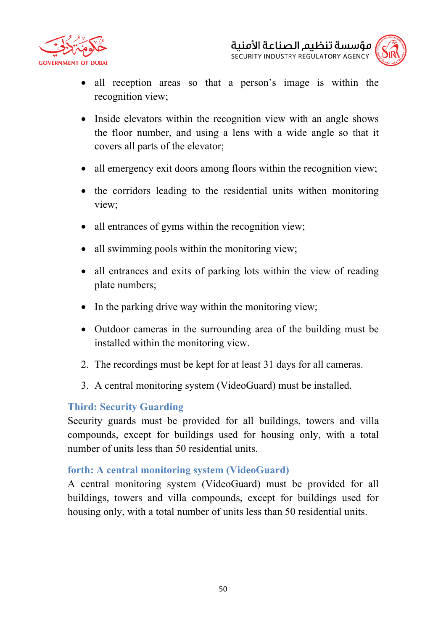



- all reception areas so that a person's image is within the recognition view;
- Inside elevators within the recognition view with an angle shows the floor number, and using a lens with a wide angle so that it covers all parts of the elevator;
- all emergency exit doors among floors within the recognition view;
- the corridors leading to the residential units withen monitoring view;
- all entrances of gyms within the recognition view;
- all swimming pools within the monitoring view;
- all entrances and exits of parking lots within the view of reading plate numbers;
- In the parking drive way within the monitoring view;
- Outdoor cameras in the surrounding area of the building must be installed within the monitoring view.
- 2. The recordings must be kept for at least 31 days for all cameras.
- 3. A central monitoring system (VideoGuard) must be installed.

# **Third: Security Guarding**

Security guards must be provided for all buildings, towers and villa compounds, except for buildings used for housing only, with a total number of units less than 50 residential units.

# **forth: A central monitoring system (VideoGuard)**

A central monitoring system (VideoGuard) must be provided for all buildings, towers and villa compounds, except for buildings used for housing only, with a total number of units less than 50 residential units.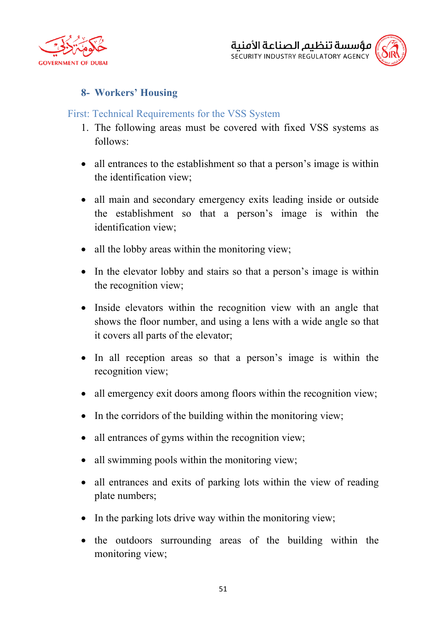



# **8- Workers' Housing**

### First: Technical Requirements for the VSS System

- 1. The following areas must be covered with fixed VSS systems as follows:
- all entrances to the establishment so that a person's image is within the identification view;
- all main and secondary emergency exits leading inside or outside the establishment so that a person's image is within the identification view;
- all the lobby areas within the monitoring view;
- In the elevator lobby and stairs so that a person's image is within the recognition view;
- Inside elevators within the recognition view with an angle that shows the floor number, and using a lens with a wide angle so that it covers all parts of the elevator;
- In all reception areas so that a person's image is within the recognition view;
- all emergency exit doors among floors within the recognition view;
- In the corridors of the building within the monitoring view;
- all entrances of gyms within the recognition view;
- all swimming pools within the monitoring view;
- all entrances and exits of parking lots within the view of reading plate numbers;
- In the parking lots drive way within the monitoring view;
- the outdoors surrounding areas of the building within the monitoring view;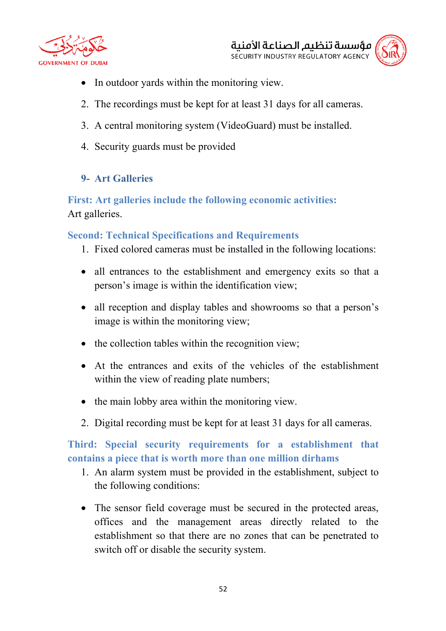



- In outdoor yards within the monitoring view.
- 2. The recordings must be kept for at least 31 days for all cameras.
- 3. A central monitoring system (VideoGuard) must be installed.
- 4. Security guards must be provided

#### **9- Art Galleries**

**First: Art galleries include the following economic activities:** Art galleries.

#### **Second: Technical Specifications and Requirements**

- 1. Fixed colored cameras must be installed in the following locations:
- all entrances to the establishment and emergency exits so that a person's image is within the identification view;
- all reception and display tables and showrooms so that a person's image is within the monitoring view;
- the collection tables within the recognition view;
- At the entrances and exits of the vehicles of the establishment within the view of reading plate numbers;
- the main lobby area within the monitoring view.
- 2. Digital recording must be kept for at least 31 days for all cameras.

**Third: Special security requirements for a establishment that contains a piece that is worth more than one million dirhams**

- 1. An alarm system must be provided in the establishment, subject to the following conditions:
- The sensor field coverage must be secured in the protected areas, offices and the management areas directly related to the establishment so that there are no zones that can be penetrated to switch off or disable the security system.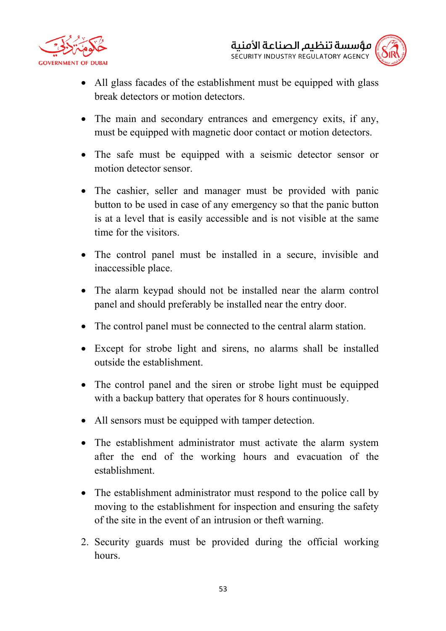



- All glass facades of the establishment must be equipped with glass break detectors or motion detectors.
- The main and secondary entrances and emergency exits, if any, must be equipped with magnetic door contact or motion detectors.
- The safe must be equipped with a seismic detector sensor or motion detector sensor.
- The cashier, seller and manager must be provided with panic button to be used in case of any emergency so that the panic button is at a level that is easily accessible and is not visible at the same time for the visitors.
- The control panel must be installed in a secure, invisible and inaccessible place.
- The alarm keypad should not be installed near the alarm control panel and should preferably be installed near the entry door.
- The control panel must be connected to the central alarm station.
- Except for strobe light and sirens, no alarms shall be installed outside the establishment.
- The control panel and the siren or strobe light must be equipped with a backup battery that operates for 8 hours continuously.
- All sensors must be equipped with tamper detection.
- The establishment administrator must activate the alarm system after the end of the working hours and evacuation of the establishment.
- The establishment administrator must respond to the police call by moving to the establishment for inspection and ensuring the safety of the site in the event of an intrusion or theft warning.
- 2. Security guards must be provided during the official working hours.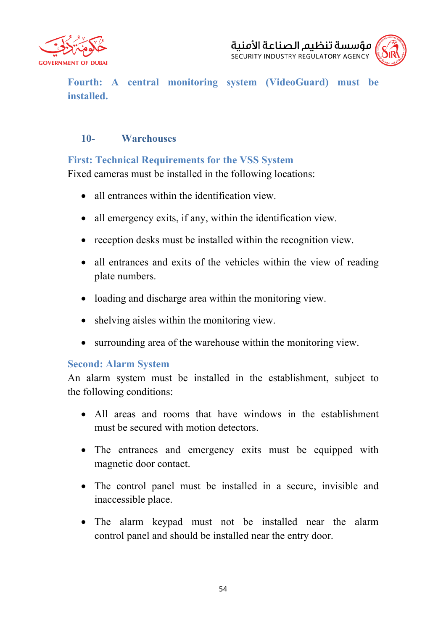



**Fourth: A central monitoring system (VideoGuard) must be installed.**

### **10- Warehouses**

## **First: Technical Requirements for the VSS System**

Fixed cameras must be installed in the following locations:

- all entrances within the identification view.
- all emergency exits, if any, within the identification view.
- reception desks must be installed within the recognition view.
- all entrances and exits of the vehicles within the view of reading plate numbers.
- loading and discharge area within the monitoring view.
- shelving aisles within the monitoring view.
- surrounding area of the warehouse within the monitoring view.

# **Second: Alarm System**

An alarm system must be installed in the establishment, subject to the following conditions:

- All areas and rooms that have windows in the establishment must be secured with motion detectors.
- The entrances and emergency exits must be equipped with magnetic door contact.
- The control panel must be installed in a secure, invisible and inaccessible place.
- The alarm keypad must not be installed near the alarm control panel and should be installed near the entry door.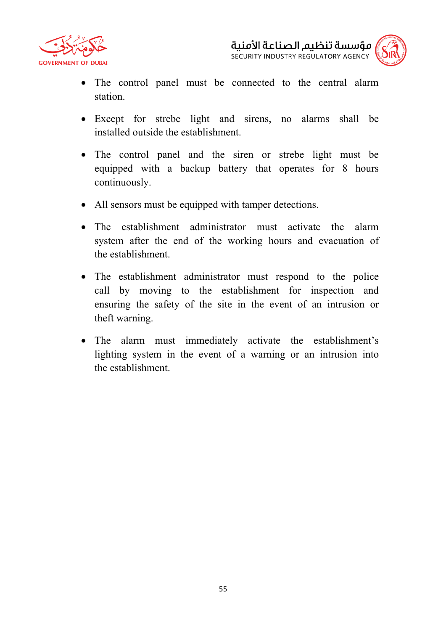

مؤسسة تنظىم الصناعة الأمنىة SECURITY INDUSTRY REGULATORY AGENCY

- The control panel must be connected to the central alarm station.
- Except for strebe light and sirens, no alarms shall be installed outside the establishment.
- The control panel and the siren or strebe light must be equipped with a backup battery that operates for 8 hours continuously.
- All sensors must be equipped with tamper detections.
- The establishment administrator must activate the alarm system after the end of the working hours and evacuation of the establishment.
- The establishment administrator must respond to the police call by moving to the establishment for inspection and ensuring the safety of the site in the event of an intrusion or theft warning.
- The alarm must immediately activate the establishment's lighting system in the event of a warning or an intrusion into the establishment.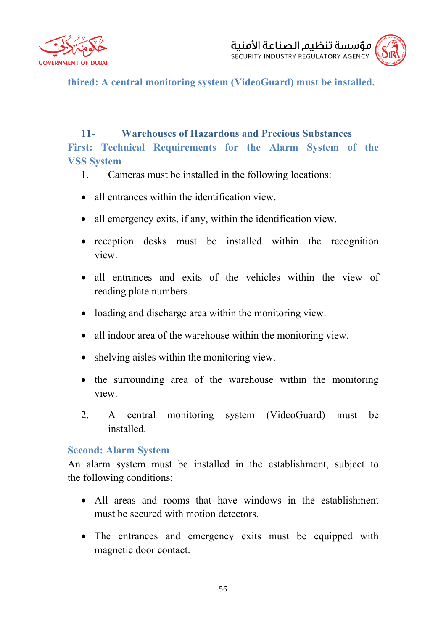



**thired: A central monitoring system (VideoGuard) must be installed.**

# **11- Warehouses of Hazardous and Precious Substances First: Technical Requirements for the Alarm System of the VSS System**

- 1. Cameras must be installed in the following locations:
- all entrances within the identification view.
- all emergency exits, if any, within the identification view.
- reception desks must be installed within the recognition view.
- all entrances and exits of the vehicles within the view of reading plate numbers.
- loading and discharge area within the monitoring view.
- all indoor area of the warehouse within the monitoring view.
- shelving aisles within the monitoring view.
- the surrounding area of the warehouse within the monitoring view.
- 2. A central monitoring system (VideoGuard) must be installed.

#### **Second: Alarm System**

An alarm system must be installed in the establishment, subject to the following conditions:

- All areas and rooms that have windows in the establishment must be secured with motion detectors.
- The entrances and emergency exits must be equipped with magnetic door contact.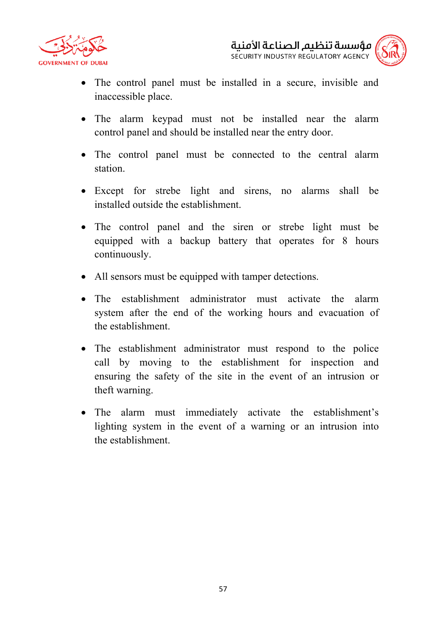



- The control panel must be installed in a secure, invisible and inaccessible place.
- The alarm keypad must not be installed near the alarm control panel and should be installed near the entry door.
- The control panel must be connected to the central alarm station.
- Except for strebe light and sirens, no alarms shall be installed outside the establishment.
- The control panel and the siren or strebe light must be equipped with a backup battery that operates for 8 hours continuously.
- All sensors must be equipped with tamper detections.
- The establishment administrator must activate the alarm system after the end of the working hours and evacuation of the establishment.
- The establishment administrator must respond to the police call by moving to the establishment for inspection and ensuring the safety of the site in the event of an intrusion or theft warning.
- The alarm must immediately activate the establishment's lighting system in the event of a warning or an intrusion into the establishment.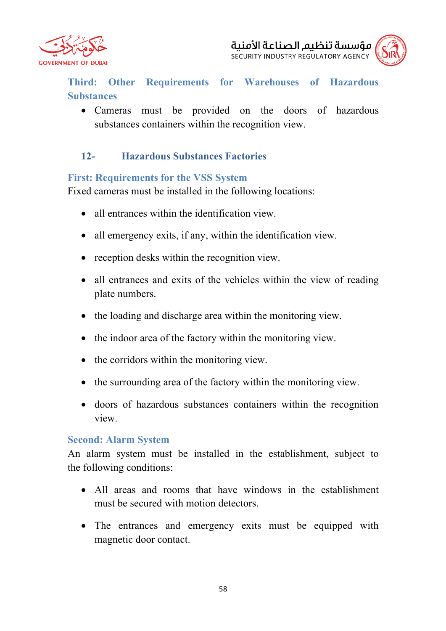



**Third: Other Requirements for Warehouses of Hazardous Substances**

• Cameras must be provided on the doors of hazardous substances containers within the recognition view.

# **12- Hazardous Substances Factories**

#### **First: Requirements for the VSS System**

Fixed cameras must be installed in the following locations:

- all entrances within the identification view.
- all emergency exits, if any, within the identification view.
- reception desks within the recognition view.
- all entrances and exits of the vehicles within the view of reading plate numbers.
- the loading and discharge area within the monitoring view.
- the indoor area of the factory within the monitoring view.
- the corridors within the monitoring view.
- the surrounding area of the factory within the monitoring view.
- doors of hazardous substances containers within the recognition view.

#### **Second: Alarm System**

An alarm system must be installed in the establishment, subject to the following conditions:

- All areas and rooms that have windows in the establishment must be secured with motion detectors.
- The entrances and emergency exits must be equipped with magnetic door contact.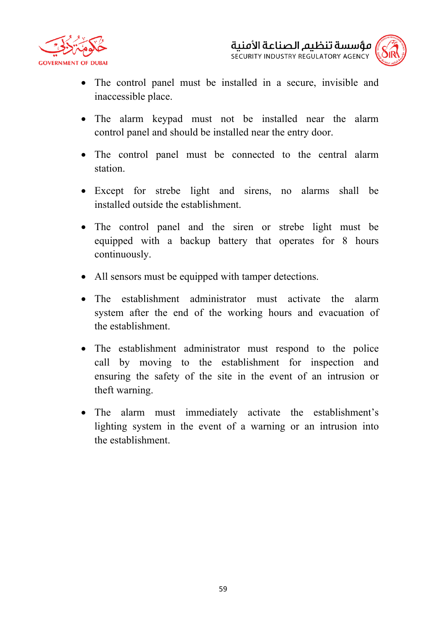



- The control panel must be installed in a secure, invisible and inaccessible place.
- The alarm keypad must not be installed near the alarm control panel and should be installed near the entry door.
- The control panel must be connected to the central alarm station.
- Except for strebe light and sirens, no alarms shall be installed outside the establishment.
- The control panel and the siren or strebe light must be equipped with a backup battery that operates for 8 hours continuously.
- All sensors must be equipped with tamper detections.
- The establishment administrator must activate the alarm system after the end of the working hours and evacuation of the establishment.
- The establishment administrator must respond to the police call by moving to the establishment for inspection and ensuring the safety of the site in the event of an intrusion or theft warning.
- The alarm must immediately activate the establishment's lighting system in the event of a warning or an intrusion into the establishment.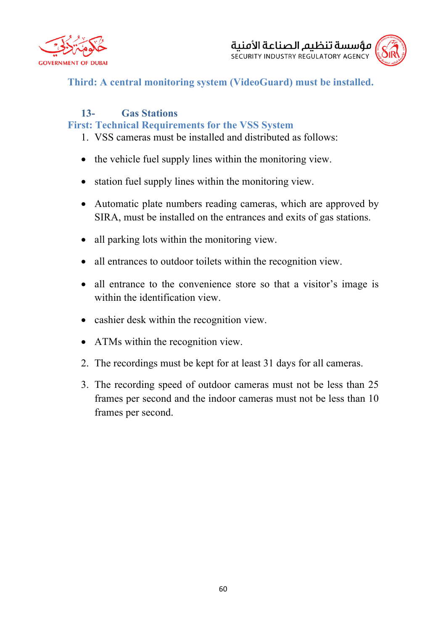



**Third: A central monitoring system (VideoGuard) must be installed.**

# **13- Gas Stations First: Technical Requirements for the VSS System**

- 1. VSS cameras must be installed and distributed as follows:
- the vehicle fuel supply lines within the monitoring view.
- station fuel supply lines within the monitoring view.
- Automatic plate numbers reading cameras, which are approved by SIRA, must be installed on the entrances and exits of gas stations.
- all parking lots within the monitoring view.
- all entrances to outdoor toilets within the recognition view.
- all entrance to the convenience store so that a visitor's image is within the identification view.
- cashier desk within the recognition view.
- ATMs within the recognition view.
- 2. The recordings must be kept for at least 31 days for all cameras.
- 3. The recording speed of outdoor cameras must not be less than 25 frames per second and the indoor cameras must not be less than 10 frames per second.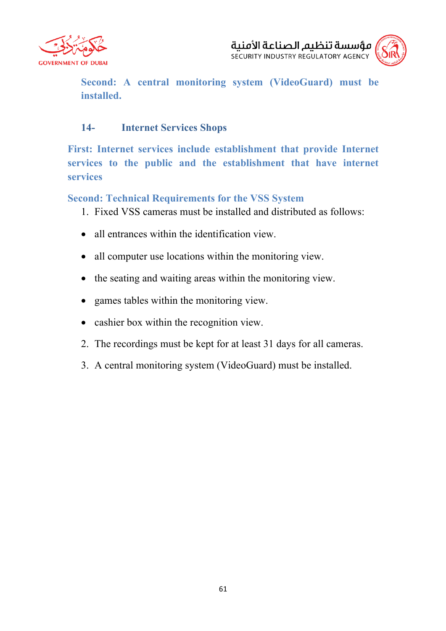



**Second: A central monitoring system (VideoGuard) must be installed.**

## **14- Internet Services Shops**

**First: Internet services include establishment that provide Internet services to the public and the establishment that have internet services** 

**Second: Technical Requirements for the VSS System**

- 1. Fixed VSS cameras must be installed and distributed as follows:
- all entrances within the identification view.
- all computer use locations within the monitoring view.
- the seating and waiting areas within the monitoring view.
- games tables within the monitoring view.
- cashier box within the recognition view.
- 2. The recordings must be kept for at least 31 days for all cameras.
- 3. A central monitoring system (VideoGuard) must be installed.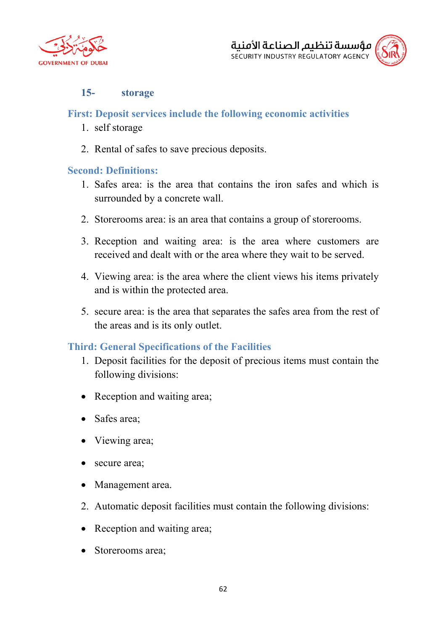



#### **15- storage**

#### **First: Deposit services include the following economic activities**

- 1. self storage
- 2. Rental of safes to save precious deposits.

#### **Second: Definitions:**

- 1. Safes area: is the area that contains the iron safes and which is surrounded by a concrete wall.
- 2. Storerooms area: is an area that contains a group of storerooms.
- 3. Reception and waiting area: is the area where customers are received and dealt with or the area where they wait to be served.
- 4. Viewing area: is the area where the client views his items privately and is within the protected area.
- 5. secure area: is the area that separates the safes area from the rest of the areas and is its only outlet.

#### **Third: General Specifications of the Facilities**

- 1. Deposit facilities for the deposit of precious items must contain the following divisions:
- Reception and waiting area;
- Safes area:
- Viewing area;
- secure area;
- Management area.
- 2. Automatic deposit facilities must contain the following divisions:
- Reception and waiting area;
- Storerooms area;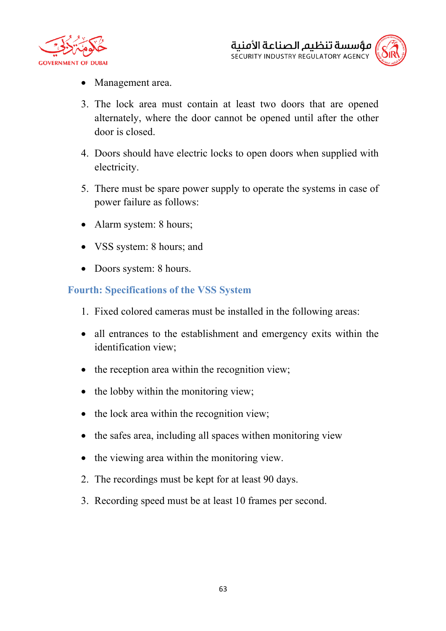



- Management area.
- 3. The lock area must contain at least two doors that are opened alternately, where the door cannot be opened until after the other door is closed.
- 4. Doors should have electric locks to open doors when supplied with electricity.
- 5. There must be spare power supply to operate the systems in case of power failure as follows:
- Alarm system: 8 hours;
- VSS system: 8 hours; and
- Doors system: 8 hours.

#### **Fourth: Specifications of the VSS System**

- 1. Fixed colored cameras must be installed in the following areas:
- all entrances to the establishment and emergency exits within the identification view;
- the reception area within the recognition view;
- the lobby within the monitoring view;
- the lock area within the recognition view;
- the safes area, including all spaces withen monitoring view
- the viewing area within the monitoring view.
- 2. The recordings must be kept for at least 90 days.
- 3. Recording speed must be at least 10 frames per second.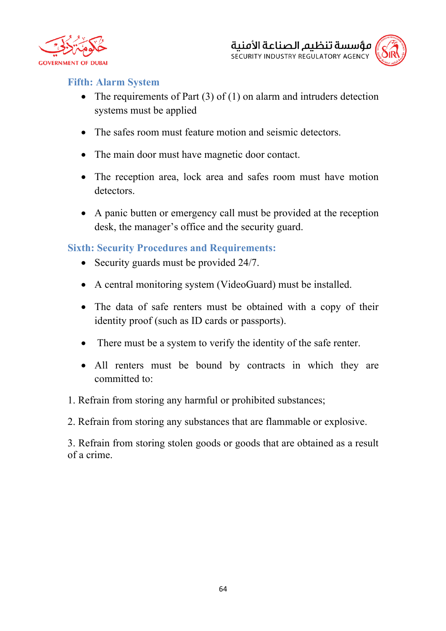



#### **Fifth: Alarm System**

- The requirements of Part  $(3)$  of  $(1)$  on alarm and intruders detection systems must be applied
- The safes room must feature motion and seismic detectors.
- The main door must have magnetic door contact.
- The reception area, lock area and safes room must have motion detectors.
- A panic butten or emergency call must be provided at the reception desk, the manager's office and the security guard.

**Sixth: Security Procedures and Requirements:**

- Security guards must be provided 24/7.
- A central monitoring system (VideoGuard) must be installed.
- The data of safe renters must be obtained with a copy of their identity proof (such as ID cards or passports).
- There must be a system to verify the identity of the safe renter.
- All renters must be bound by contracts in which they are committed to:
- 1. Refrain from storing any harmful or prohibited substances;

2. Refrain from storing any substances that are flammable or explosive.

3. Refrain from storing stolen goods or goods that are obtained as a result of a crime.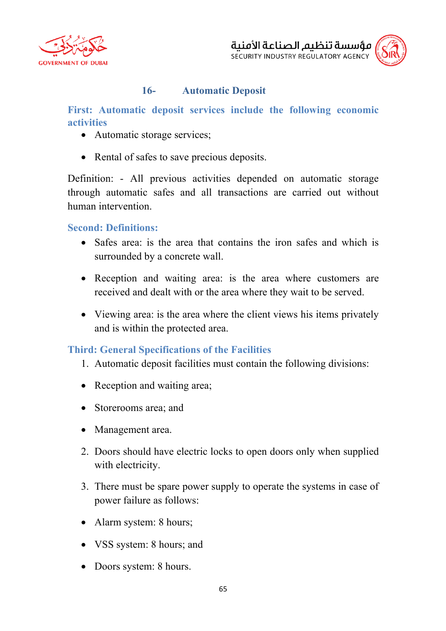



## **16- Automatic Deposit**

**First: Automatic deposit services include the following economic activities**

- Automatic storage services;
- Rental of safes to save precious deposits.

Definition: - All previous activities depended on automatic storage through automatic safes and all transactions are carried out without human intervention.

#### **Second: Definitions:**

- Safes area: is the area that contains the iron safes and which is surrounded by a concrete wall.
- Reception and waiting area: is the area where customers are received and dealt with or the area where they wait to be served.
- Viewing area: is the area where the client views his items privately and is within the protected area.

#### **Third: General Specifications of the Facilities**

- 1. Automatic deposit facilities must contain the following divisions:
- Reception and waiting area;
- Storerooms area; and
- Management area.
- 2. Doors should have electric locks to open doors only when supplied with electricity.
- 3. There must be spare power supply to operate the systems in case of power failure as follows:
- Alarm system: 8 hours;
- VSS system: 8 hours; and
- Doors system: 8 hours.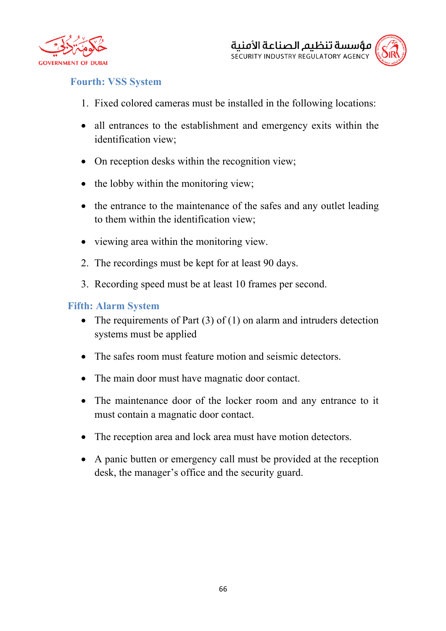



## **Fourth: VSS System**

- 1. Fixed colored cameras must be installed in the following locations:
- all entrances to the establishment and emergency exits within the identification view;
- On reception desks within the recognition view;
- the lobby within the monitoring view;
- the entrance to the maintenance of the safes and any outlet leading to them within the identification view;
- viewing area within the monitoring view.
- 2. The recordings must be kept for at least 90 days.
- 3. Recording speed must be at least 10 frames per second.

#### **Fifth: Alarm System**

- The requirements of Part  $(3)$  of  $(1)$  on alarm and intruders detection systems must be applied
- The safes room must feature motion and seismic detectors.
- The main door must have magnatic door contact.
- The maintenance door of the locker room and any entrance to it must contain a magnatic door contact.
- The reception area and lock area must have motion detectors.
- A panic butten or emergency call must be provided at the reception desk, the manager's office and the security guard.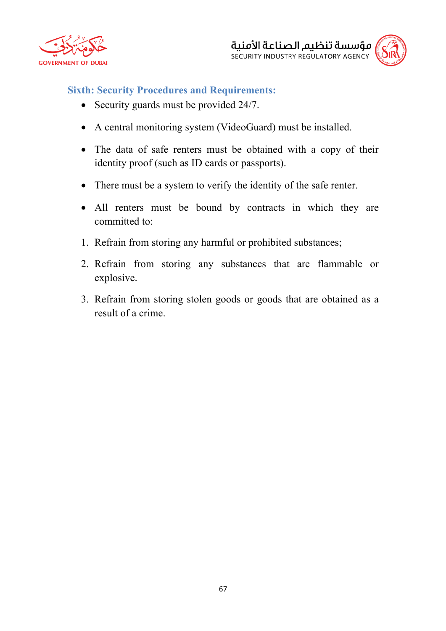



#### **Sixth: Security Procedures and Requirements:**

- Security guards must be provided 24/7.
- A central monitoring system (VideoGuard) must be installed.
- The data of safe renters must be obtained with a copy of their identity proof (such as ID cards or passports).
- There must be a system to verify the identity of the safe renter.
- All renters must be bound by contracts in which they are committed to:
- 1. Refrain from storing any harmful or prohibited substances;
- 2. Refrain from storing any substances that are flammable or explosive.
- 3. Refrain from storing stolen goods or goods that are obtained as a result of a crime.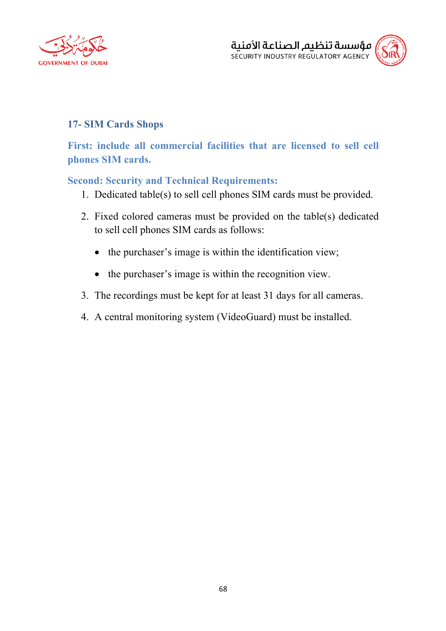



## **17- SIM Cards Shops**

**First: include all commercial facilities that are licensed to sell cell phones SIM cards.**

#### **Second: Security and Technical Requirements:**

- 1. Dedicated table(s) to sell cell phones SIM cards must be provided.
- 2. Fixed colored cameras must be provided on the table(s) dedicated to sell cell phones SIM cards as follows:
	- the purchaser's image is within the identification view;
	- the purchaser's image is within the recognition view.
- 3. The recordings must be kept for at least 31 days for all cameras.
- 4. A central monitoring system (VideoGuard) must be installed.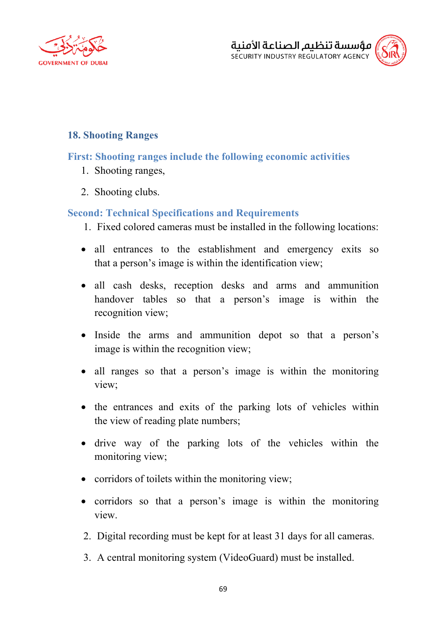



### **18. Shooting Ranges**

### **First: Shooting ranges include the following economic activities**

- 1. Shooting ranges,
- 2. Shooting clubs.

### **Second: Technical Specifications and Requirements**

- 1. Fixed colored cameras must be installed in the following locations:
- all entrances to the establishment and emergency exits so that a person's image is within the identification view;
- all cash desks, reception desks and arms and ammunition handover tables so that a person's image is within the recognition view;
- Inside the arms and ammunition depot so that a person's image is within the recognition view;
- all ranges so that a person's image is within the monitoring view;
- the entrances and exits of the parking lots of vehicles within the view of reading plate numbers;
- drive way of the parking lots of the vehicles within the monitoring view;
- corridors of toilets within the monitoring view;
- corridors so that a person's image is within the monitoring view.
- 2. Digital recording must be kept for at least 31 days for all cameras.
- 3. A central monitoring system (VideoGuard) must be installed.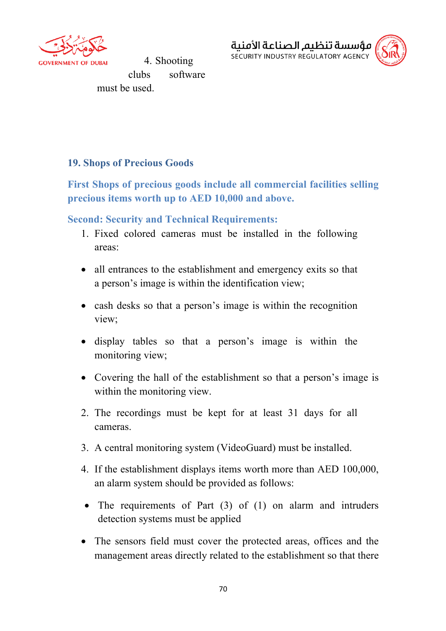

4. Shooting clubs software must be used.



#### **19. Shops of Precious Goods**

**First Shops of precious goods include all commercial facilities selling precious items worth up to AED 10,000 and above.**

#### **Second: Security and Technical Requirements:**

- 1. Fixed colored cameras must be installed in the following areas:
- all entrances to the establishment and emergency exits so that a person's image is within the identification view;
- cash desks so that a person's image is within the recognition view;
- display tables so that a person's image is within the monitoring view;
- Covering the hall of the establishment so that a person's image is within the monitoring view.
- 2. The recordings must be kept for at least 31 days for all cameras.
- 3. A central monitoring system (VideoGuard) must be installed.
- 4. If the establishment displays items worth more than AED 100,000, an alarm system should be provided as follows:
- The requirements of Part (3) of (1) on alarm and intruders detection systems must be applied
- The sensors field must cover the protected areas, offices and the management areas directly related to the establishment so that there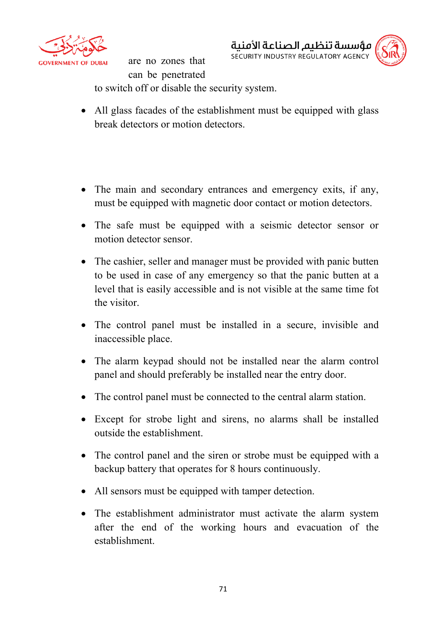

are no zones that can be penetrated to switch off or disable the security system.





• All glass facades of the establishment must be equipped with glass break detectors or motion detectors.

- The main and secondary entrances and emergency exits, if any, must be equipped with magnetic door contact or motion detectors.
- The safe must be equipped with a seismic detector sensor or motion detector sensor.
- The cashier, seller and manager must be provided with panic butten to be used in case of any emergency so that the panic butten at a level that is easily accessible and is not visible at the same time fot the visitor.
- The control panel must be installed in a secure, invisible and inaccessible place.
- The alarm keypad should not be installed near the alarm control panel and should preferably be installed near the entry door.
- The control panel must be connected to the central alarm station.
- Except for strobe light and sirens, no alarms shall be installed outside the establishment.
- The control panel and the siren or strobe must be equipped with a backup battery that operates for 8 hours continuously.
- All sensors must be equipped with tamper detection.
- The establishment administrator must activate the alarm system after the end of the working hours and evacuation of the establishment.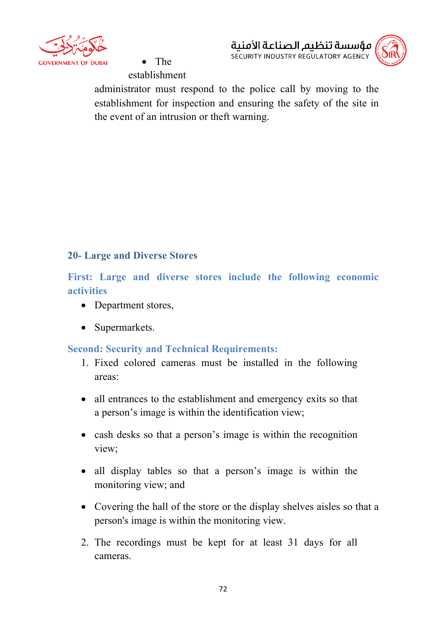

• The establishment



administrator must respond to the police call by moving to the establishment for inspection and ensuring the safety of the site in the event of an intrusion or theft warning.

# **20- Large and Diverse Stores**

**First: Large and diverse stores include the following economic activities**

- Department stores,
- Supermarkets.

#### **Second: Security and Technical Requirements:**

- 1. Fixed colored cameras must be installed in the following areas:
- all entrances to the establishment and emergency exits so that a person's image is within the identification view;
- cash desks so that a person's image is within the recognition view;
- all display tables so that a person's image is within the monitoring view; and
- Covering the hall of the store or the display shelves aisles so that a person's image is within the monitoring view.
- 2. The recordings must be kept for at least 31 days for all cameras.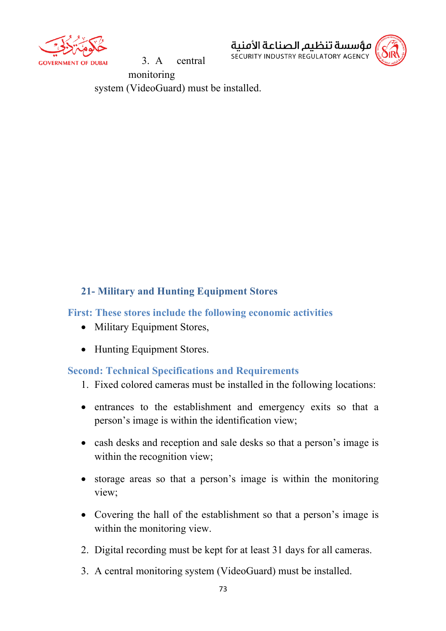

3. A central



monitoring system (VideoGuard) must be installed.

# **21- Military and Hunting Equipment Stores**

#### **First: These stores include the following economic activities**

- Military Equipment Stores,
- Hunting Equipment Stores.

## **Second: Technical Specifications and Requirements**

- 1. Fixed colored cameras must be installed in the following locations:
- entrances to the establishment and emergency exits so that a person's image is within the identification view;
- cash desks and reception and sale desks so that a person's image is within the recognition view;
- storage areas so that a person's image is within the monitoring view;
- Covering the hall of the establishment so that a person's image is within the monitoring view.
- 2. Digital recording must be kept for at least 31 days for all cameras.
- 3. A central monitoring system (VideoGuard) must be installed.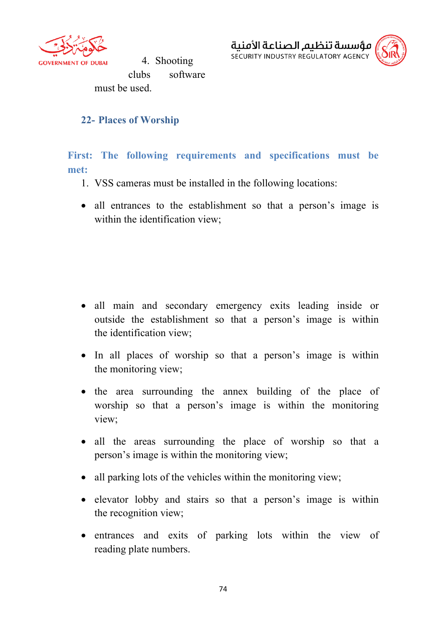

4. Shooting clubs software must be used.



#### **22- Places of Worship**

**First: The following requirements and specifications must be met:**

- 1. VSS cameras must be installed in the following locations:
- all entrances to the establishment so that a person's image is within the identification view;

- all main and secondary emergency exits leading inside or outside the establishment so that a person's image is within the identification view;
- In all places of worship so that a person's image is within the monitoring view;
- the area surrounding the annex building of the place of worship so that a person's image is within the monitoring view;
- all the areas surrounding the place of worship so that a person's image is within the monitoring view;
- all parking lots of the vehicles within the monitoring view;
- elevator lobby and stairs so that a person's image is within the recognition view;
- entrances and exits of parking lots within the view of reading plate numbers.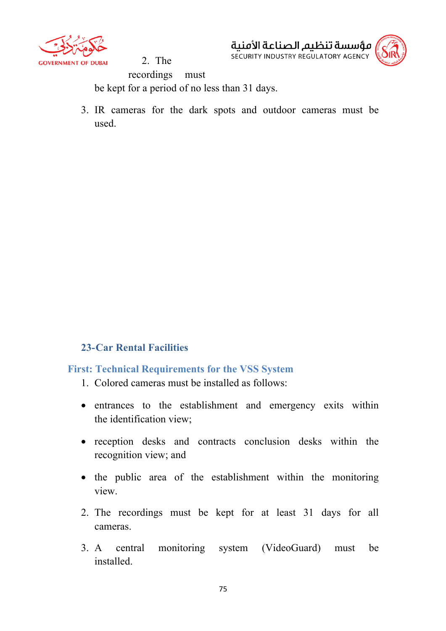

مؤسسة تنظىم الصناعة الأمنىة SECURITY INDUSTRY REGULATORY AGENCY



2. The recordings must be kept for a period of no less than 31 days.

3. IR cameras for the dark spots and outdoor cameras must be used.

## **23-Car Rental Facilities**

# **First: Technical Requirements for the VSS System**

- 1. Colored cameras must be installed as follows:
- entrances to the establishment and emergency exits within the identification view;
- reception desks and contracts conclusion desks within the recognition view; and
- the public area of the establishment within the monitoring view.
- 2. The recordings must be kept for at least 31 days for all cameras.
- 3. A central monitoring system (VideoGuard) must be installed.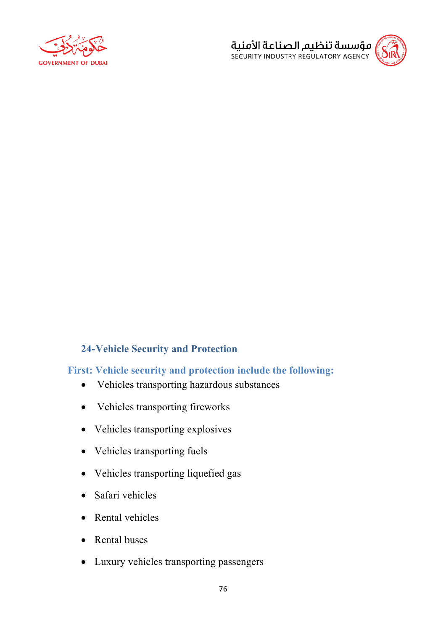



## **24-Vehicle Security and Protection**

## **First: Vehicle security and protection include the following:**

- Vehicles transporting hazardous substances
- Vehicles transporting fireworks
- Vehicles transporting explosives
- Vehicles transporting fuels
- Vehicles transporting liquefied gas
- Safari vehicles
- Rental vehicles
- Rental buses
- Luxury vehicles transporting passengers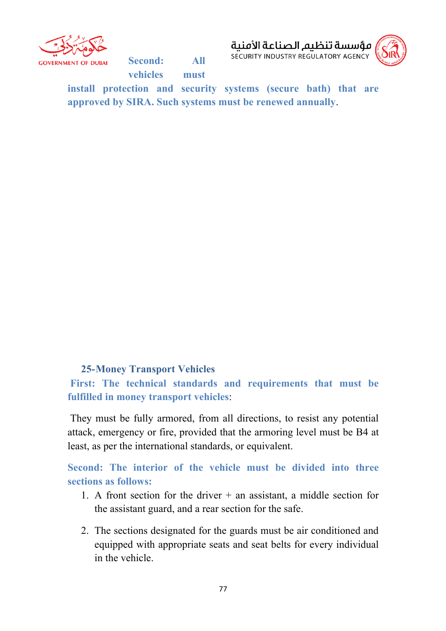

**Second: All vehicles must** 



**install protection and security systems (secure bath) that are approved by SIRA. Such systems must be renewed annually**.

#### **25-Money Transport Vehicles**

**First: The technical standards and requirements that must be fulfilled in money transport vehicles**:

They must be fully armored, from all directions, to resist any potential attack, emergency or fire, provided that the armoring level must be B4 at least, as per the international standards, or equivalent.

**Second: The interior of the vehicle must be divided into three sections as follows:**

- 1. A front section for the driver  $+$  an assistant, a middle section for the assistant guard, and a rear section for the safe.
- 2. The sections designated for the guards must be air conditioned and equipped with appropriate seats and seat belts for every individual in the vehicle.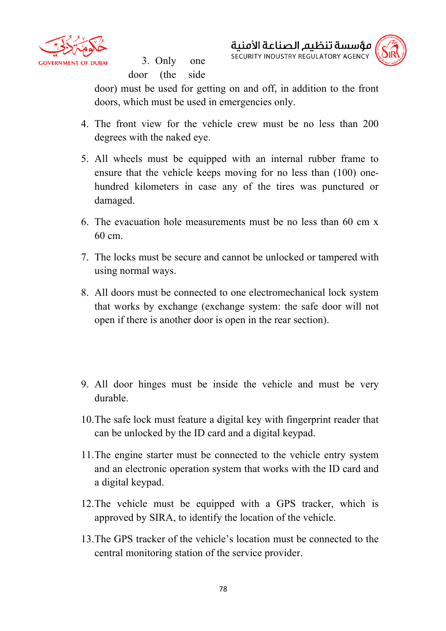

3. Only one door (the side مؤسسة تنظيم الصناعة الأمنية SECURITY INDUSTRY REGULATORY AGENCY



door) must be used for getting on and off, in addition to the front doors, which must be used in emergencies only.

- 4. The front view for the vehicle crew must be no less than 200 degrees with the naked eye.
- 5. All wheels must be equipped with an internal rubber frame to ensure that the vehicle keeps moving for no less than (100) onehundred kilometers in case any of the tires was punctured or damaged.
- 6. The evacuation hole measurements must be no less than 60 cm x 60 cm.
- 7. The locks must be secure and cannot be unlocked or tampered with using normal ways.
- 8. All doors must be connected to one electromechanical lock system that works by exchange (exchange system: the safe door will not open if there is another door is open in the rear section).
- 9. All door hinges must be inside the vehicle and must be very durable.
- 10.The safe lock must feature a digital key with fingerprint reader that can be unlocked by the ID card and a digital keypad.
- 11.The engine starter must be connected to the vehicle entry system and an electronic operation system that works with the ID card and a digital keypad.
- 12.The vehicle must be equipped with a GPS tracker, which is approved by SIRA, to identify the location of the vehicle.
- 13.The GPS tracker of the vehicle's location must be connected to the central monitoring station of the service provider.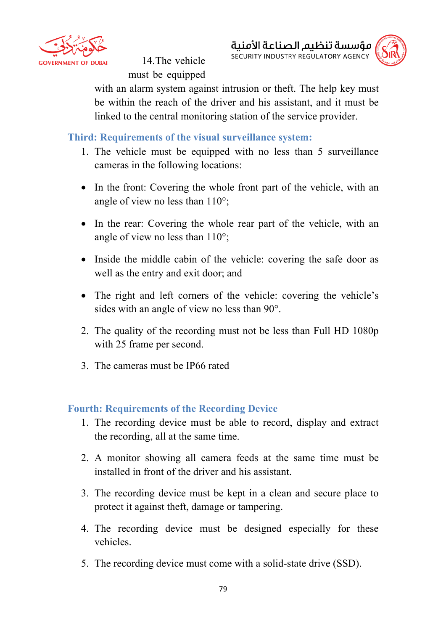

14.The vehicle must be equipped



with an alarm system against intrusion or theft. The help key must be within the reach of the driver and his assistant, and it must be linked to the central monitoring station of the service provider.

**Third: Requirements of the visual surveillance system:**

- 1. The vehicle must be equipped with no less than 5 surveillance cameras in the following locations:
- In the front: Covering the whole front part of the vehicle, with an angle of view no less than 110°;
- In the rear: Covering the whole rear part of the vehicle, with an angle of view no less than 110°;
- Inside the middle cabin of the vehicle: covering the safe door as well as the entry and exit door; and
- The right and left corners of the vehicle: covering the vehicle's sides with an angle of view no less than 90°.
- 2. The quality of the recording must not be less than Full HD 1080p with 25 frame per second.
- 3. The cameras must be IP66 rated

## **Fourth: Requirements of the Recording Device**

- 1. The recording device must be able to record, display and extract the recording, all at the same time.
- 2. A monitor showing all camera feeds at the same time must be installed in front of the driver and his assistant.
- 3. The recording device must be kept in a clean and secure place to protect it against theft, damage or tampering.
- 4. The recording device must be designed especially for these vehicles.
- 5. The recording device must come with a solid-state drive (SSD).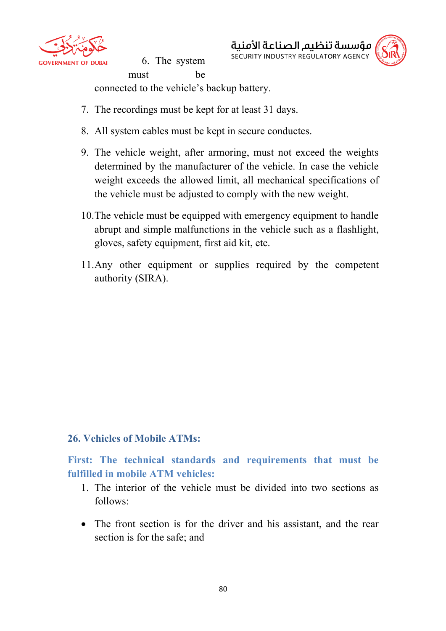

6. The system must be مؤسسة تنظيم الصناعة الأمنية SECURITY INDUSTRY REGULATORY AGENCY



connected to the vehicle's backup battery.

- 7. The recordings must be kept for at least 31 days.
- 8. All system cables must be kept in secure conductes.
- 9. The vehicle weight, after armoring, must not exceed the weights determined by the manufacturer of the vehicle. In case the vehicle weight exceeds the allowed limit, all mechanical specifications of the vehicle must be adjusted to comply with the new weight.
- 10.The vehicle must be equipped with emergency equipment to handle abrupt and simple malfunctions in the vehicle such as a flashlight, gloves, safety equipment, first aid kit, etc.
- 11.Any other equipment or supplies required by the competent authority (SIRA).

#### **26. Vehicles of Mobile ATMs:**

**First: The technical standards and requirements that must be fulfilled in mobile ATM vehicles:**

- 1. The interior of the vehicle must be divided into two sections as follows:
- The front section is for the driver and his assistant, and the rear section is for the safe; and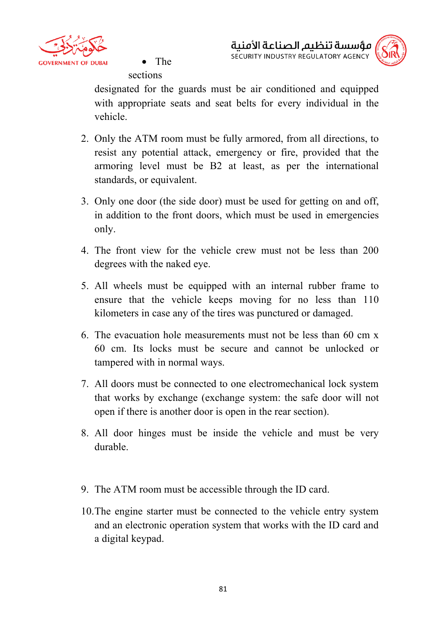

• The



sections

designated for the guards must be air conditioned and equipped with appropriate seats and seat belts for every individual in the vehicle.

- 2. Only the ATM room must be fully armored, from all directions, to resist any potential attack, emergency or fire, provided that the armoring level must be B2 at least, as per the international standards, or equivalent.
- 3. Only one door (the side door) must be used for getting on and off, in addition to the front doors, which must be used in emergencies only.
- 4. The front view for the vehicle crew must not be less than 200 degrees with the naked eye.
- 5. All wheels must be equipped with an internal rubber frame to ensure that the vehicle keeps moving for no less than 110 kilometers in case any of the tires was punctured or damaged.
- 6. The evacuation hole measurements must not be less than 60 cm x 60 cm. Its locks must be secure and cannot be unlocked or tampered with in normal ways.
- 7. All doors must be connected to one electromechanical lock system that works by exchange (exchange system: the safe door will not open if there is another door is open in the rear section).
- 8. All door hinges must be inside the vehicle and must be very durable.
- 9. The ATM room must be accessible through the ID card.
- 10.The engine starter must be connected to the vehicle entry system and an electronic operation system that works with the ID card and a digital keypad.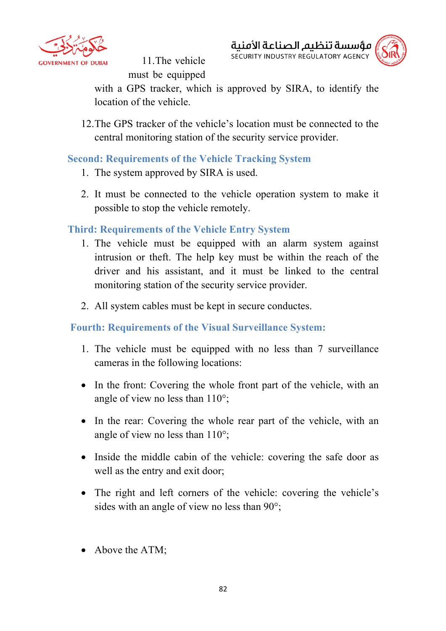

11.The vehicle must be equipped



with a GPS tracker, which is approved by SIRA, to identify the location of the vehicle.

12.The GPS tracker of the vehicle's location must be connected to the central monitoring station of the security service provider.

## **Second: Requirements of the Vehicle Tracking System**

- 1. The system approved by SIRA is used.
- 2. It must be connected to the vehicle operation system to make it possible to stop the vehicle remotely.

# **Third: Requirements of the Vehicle Entry System**

- 1. The vehicle must be equipped with an alarm system against intrusion or theft. The help key must be within the reach of the driver and his assistant, and it must be linked to the central monitoring station of the security service provider.
- 2. All system cables must be kept in secure conductes.

# **Fourth: Requirements of the Visual Surveillance System:**

- 1. The vehicle must be equipped with no less than 7 surveillance cameras in the following locations:
- In the front: Covering the whole front part of the vehicle, with an angle of view no less than 110°;
- In the rear: Covering the whole rear part of the vehicle, with an angle of view no less than 110°;
- Inside the middle cabin of the vehicle: covering the safe door as well as the entry and exit door;
- The right and left corners of the vehicle: covering the vehicle's sides with an angle of view no less than 90°;
- Above the ATM;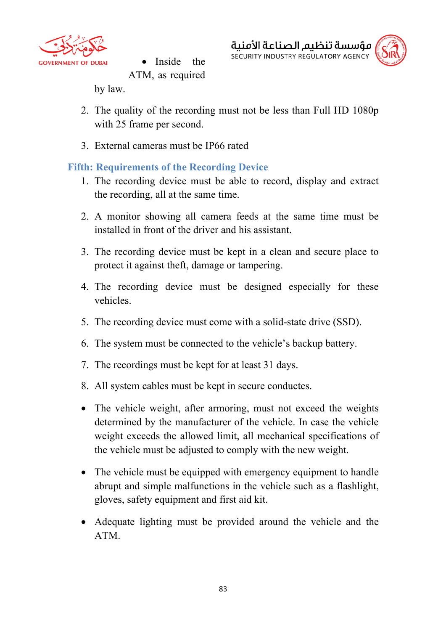

Inside the ATM, as required مؤسسة تنظىم الصناعة الأمنىة SECURITY INDUSTRY REGULATORY AGENCY



by law.

- 2. The quality of the recording must not be less than Full HD 1080p with 25 frame per second.
- 3. External cameras must be IP66 rated

# **Fifth: Requirements of the Recording Device**

- 1. The recording device must be able to record, display and extract the recording, all at the same time.
- 2. A monitor showing all camera feeds at the same time must be installed in front of the driver and his assistant.
- 3. The recording device must be kept in a clean and secure place to protect it against theft, damage or tampering.
- 4. The recording device must be designed especially for these vehicles.
- 5. The recording device must come with a solid-state drive (SSD).
- 6. The system must be connected to the vehicle's backup battery.
- 7. The recordings must be kept for at least 31 days.
- 8. All system cables must be kept in secure conductes.
- The vehicle weight, after armoring, must not exceed the weights determined by the manufacturer of the vehicle. In case the vehicle weight exceeds the allowed limit, all mechanical specifications of the vehicle must be adjusted to comply with the new weight.
- The vehicle must be equipped with emergency equipment to handle abrupt and simple malfunctions in the vehicle such as a flashlight, gloves, safety equipment and first aid kit.
- Adequate lighting must be provided around the vehicle and the ATM.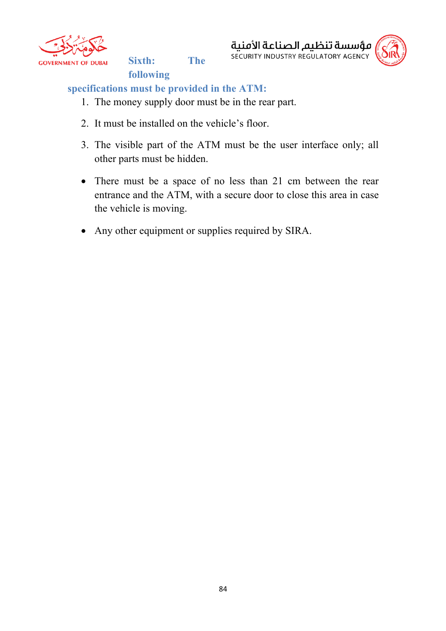

**Sixth: The** 





# **specifications must be provided in the ATM:**

**following** 

- 1. The money supply door must be in the rear part.
- 2. It must be installed on the vehicle's floor.
- 3. The visible part of the ATM must be the user interface only; all other parts must be hidden.
- There must be a space of no less than 21 cm between the rear entrance and the ATM, with a secure door to close this area in case the vehicle is moving.
- Any other equipment or supplies required by SIRA.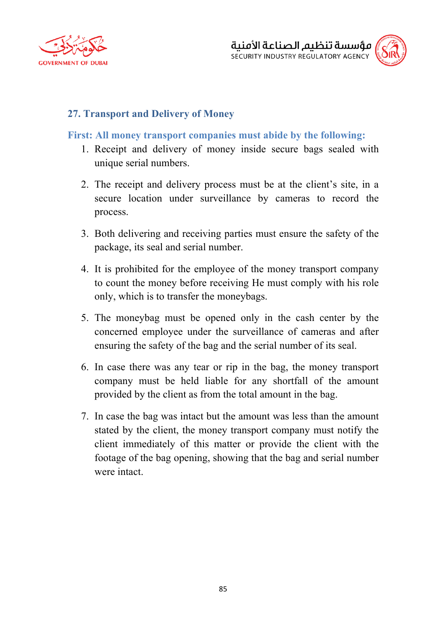



## **27. Transport and Delivery of Money**

#### **First: All money transport companies must abide by the following:**

- 1. Receipt and delivery of money inside secure bags sealed with unique serial numbers.
- 2. The receipt and delivery process must be at the client's site, in a secure location under surveillance by cameras to record the process.
- 3. Both delivering and receiving parties must ensure the safety of the package, its seal and serial number.
- 4. It is prohibited for the employee of the money transport company to count the money before receiving He must comply with his role only, which is to transfer the moneybags.
- 5. The moneybag must be opened only in the cash center by the concerned employee under the surveillance of cameras and after ensuring the safety of the bag and the serial number of its seal.
- 6. In case there was any tear or rip in the bag, the money transport company must be held liable for any shortfall of the amount provided by the client as from the total amount in the bag.
- 7. In case the bag was intact but the amount was less than the amount stated by the client, the money transport company must notify the client immediately of this matter or provide the client with the footage of the bag opening, showing that the bag and serial number were intact.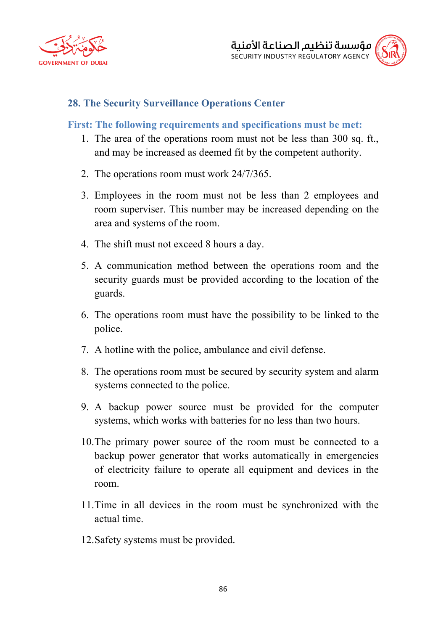



#### **28. The Security Surveillance Operations Center**

#### **First: The following requirements and specifications must be met:**

- 1. The area of the operations room must not be less than 300 sq. ft., and may be increased as deemed fit by the competent authority.
- 2. The operations room must work 24/7/365.
- 3. Employees in the room must not be less than 2 employees and room superviser. This number may be increased depending on the area and systems of the room.
- 4. The shift must not exceed 8 hours a day.
- 5. A communication method between the operations room and the security guards must be provided according to the location of the guards.
- 6. The operations room must have the possibility to be linked to the police.
- 7. A hotline with the police, ambulance and civil defense.
- 8. The operations room must be secured by security system and alarm systems connected to the police.
- 9. A backup power source must be provided for the computer systems, which works with batteries for no less than two hours.
- 10.The primary power source of the room must be connected to a backup power generator that works automatically in emergencies of electricity failure to operate all equipment and devices in the room.
- 11.Time in all devices in the room must be synchronized with the actual time.
- 12.Safety systems must be provided.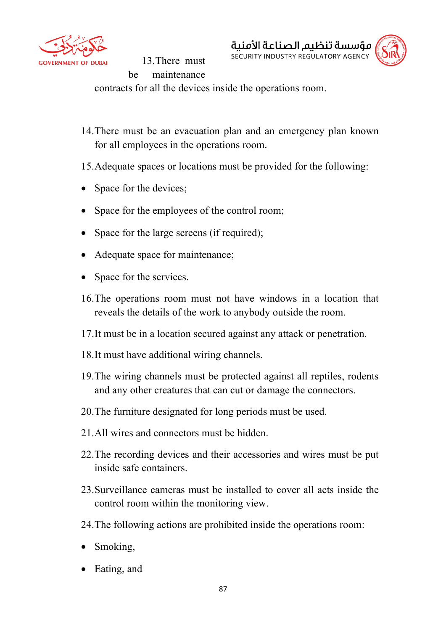

مؤسسة تنظيم الصناعة الأمنية SECURITY INDUSTRY REGULATORY AGENCY 13.There must be maintenance



contracts for all the devices inside the operations room.

14.There must be an evacuation plan and an emergency plan known for all employees in the operations room.

15.Adequate spaces or locations must be provided for the following:

- Space for the devices;
- Space for the employees of the control room;
- Space for the large screens (if required);
- Adequate space for maintenance;
- Space for the services.
- 16.The operations room must not have windows in a location that reveals the details of the work to anybody outside the room.
- 17.It must be in a location secured against any attack or penetration.
- 18.It must have additional wiring channels.
- 19.The wiring channels must be protected against all reptiles, rodents and any other creatures that can cut or damage the connectors.
- 20.The furniture designated for long periods must be used.
- 21. All wires and connectors must be hidden.
- 22.The recording devices and their accessories and wires must be put inside safe containers.
- 23.Surveillance cameras must be installed to cover all acts inside the control room within the monitoring view.
- 24.The following actions are prohibited inside the operations room:
- Smoking,
- Eating, and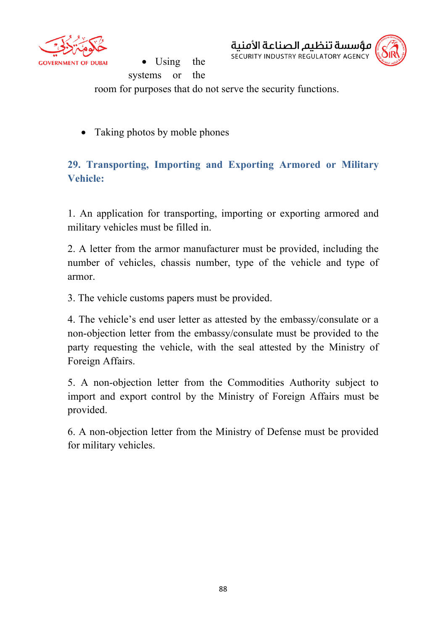

مؤسسة تنظيم الصناعة الأمنية SECURITY INDUSTRY REGULATORY AGENCY



Using the systems or the room for purposes that do not serve the security functions.

• Taking photos by moble phones

**29. Transporting, Importing and Exporting Armored or Military Vehicle:**

1. An application for transporting, importing or exporting armored and military vehicles must be filled in.

2. A letter from the armor manufacturer must be provided, including the number of vehicles, chassis number, type of the vehicle and type of armor.

3. The vehicle customs papers must be provided.

4. The vehicle's end user letter as attested by the embassy/consulate or a non-objection letter from the embassy/consulate must be provided to the party requesting the vehicle, with the seal attested by the Ministry of Foreign Affairs.

5. A non-objection letter from the Commodities Authority subject to import and export control by the Ministry of Foreign Affairs must be provided.

6. A non-objection letter from the Ministry of Defense must be provided for military vehicles.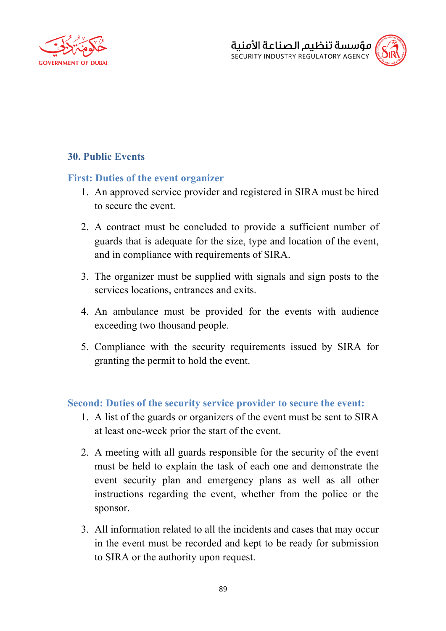



# **30. Public Events**

#### **First: Duties of the event organizer**

- 1. An approved service provider and registered in SIRA must be hired to secure the event.
- 2. A contract must be concluded to provide a sufficient number of guards that is adequate for the size, type and location of the event, and in compliance with requirements of SIRA.
- 3. The organizer must be supplied with signals and sign posts to the services locations, entrances and exits.
- 4. An ambulance must be provided for the events with audience exceeding two thousand people.
- 5. Compliance with the security requirements issued by SIRA for granting the permit to hold the event.

#### **Second: Duties of the security service provider to secure the event:**

- 1. A list of the guards or organizers of the event must be sent to SIRA at least one-week prior the start of the event.
- 2. A meeting with all guards responsible for the security of the event must be held to explain the task of each one and demonstrate the event security plan and emergency plans as well as all other instructions regarding the event, whether from the police or the sponsor.
- 3. All information related to all the incidents and cases that may occur in the event must be recorded and kept to be ready for submission to SIRA or the authority upon request.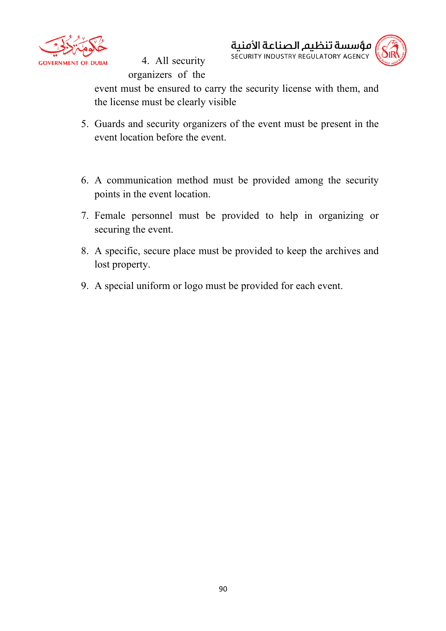

4. All security organizers of the



event must be ensured to carry the security license with them, and the license must be clearly visible

- 5. Guards and security organizers of the event must be present in the event location before the event.
- 6. A communication method must be provided among the security points in the event location.
- 7. Female personnel must be provided to help in organizing or securing the event.
- 8. A specific, secure place must be provided to keep the archives and lost property.
- 9. A special uniform or logo must be provided for each event.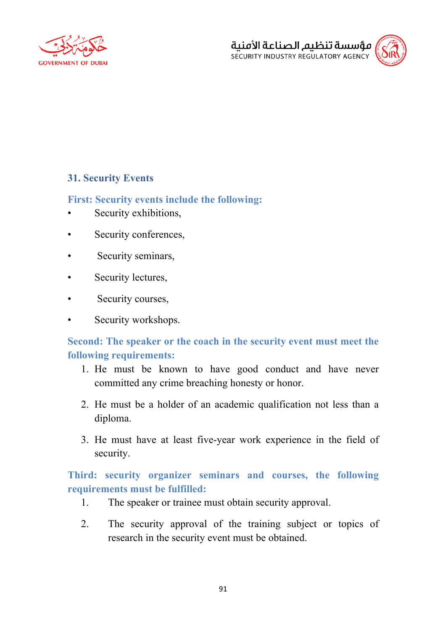



## **31. Security Events**

#### **First: Security events include the following:**

- Security exhibitions,
- Security conferences,
- Security seminars,
- Security lectures,
- Security courses,
- Security workshops.

# **Second: The speaker or the coach in the security event must meet the following requirements:**

- 1. He must be known to have good conduct and have never committed any crime breaching honesty or honor.
- 2. He must be a holder of an academic qualification not less than a diploma.
- 3. He must have at least five-year work experience in the field of security.

# **Third: security organizer seminars and courses, the following requirements must be fulfilled:**

- 1. The speaker or trainee must obtain security approval.
- 2. The security approval of the training subject or topics of research in the security event must be obtained.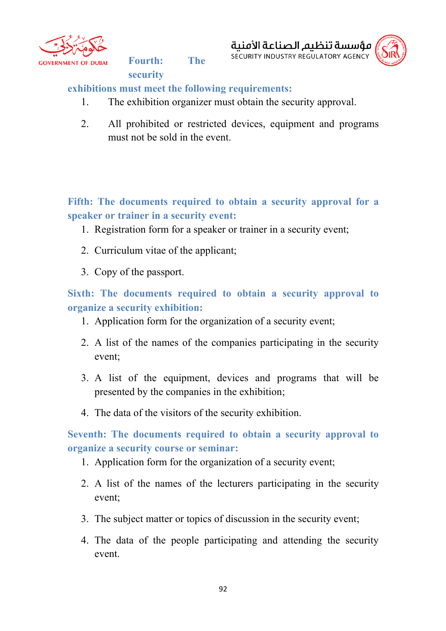

**Fourth: The** 

**security** 



## **exhibitions must meet the following requirements:**

- 1. The exhibition organizer must obtain the security approval.
- 2. All prohibited or restricted devices, equipment and programs must not be sold in the event.

**Fifth: The documents required to obtain a security approval for a speaker or trainer in a security event:**

- 1. Registration form for a speaker or trainer in a security event;
- 2. Curriculum vitae of the applicant;
- 3. Copy of the passport.

**Sixth: The documents required to obtain a security approval to organize a security exhibition:**

- 1. Application form for the organization of a security event;
- 2. A list of the names of the companies participating in the security event;
- 3. A list of the equipment, devices and programs that will be presented by the companies in the exhibition;
- 4. The data of the visitors of the security exhibition.

**Seventh: The documents required to obtain a security approval to organize a security course or seminar:**

- 1. Application form for the organization of a security event;
- 2. A list of the names of the lecturers participating in the security event;
- 3. The subject matter or topics of discussion in the security event;
- 4. The data of the people participating and attending the security event.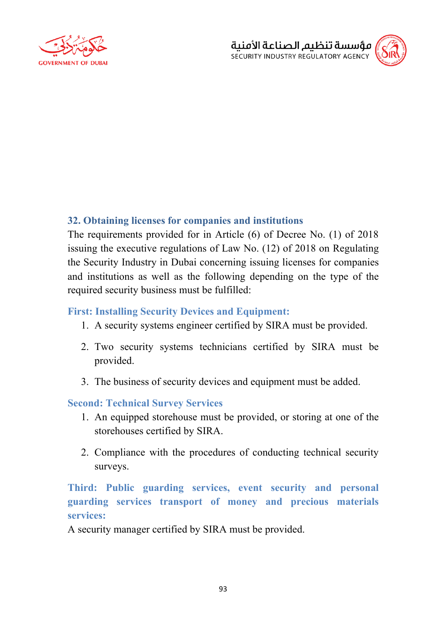



## **32. Obtaining licenses for companies and institutions**

The requirements provided for in Article (6) of Decree No. (1) of 2018 issuing the executive regulations of Law No. (12) of 2018 on Regulating the Security Industry in Dubai concerning issuing licenses for companies and institutions as well as the following depending on the type of the required security business must be fulfilled:

#### **First: Installing Security Devices and Equipment:**

- 1. A security systems engineer certified by SIRA must be provided.
- 2. Two security systems technicians certified by SIRA must be provided.
- 3. The business of security devices and equipment must be added.

## **Second: Technical Survey Services**

- 1. An equipped storehouse must be provided, or storing at one of the storehouses certified by SIRA.
- 2. Compliance with the procedures of conducting technical security surveys.

**Third: Public guarding services, event security and personal guarding services transport of money and precious materials services:**

A security manager certified by SIRA must be provided.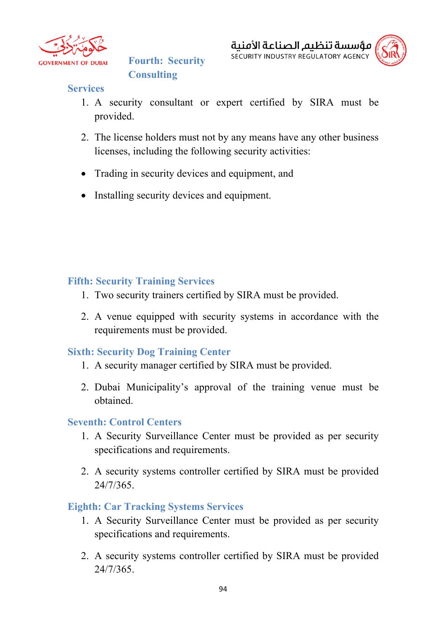

**Fourth: Security Consulting** 



#### **Services**

- 1. A security consultant or expert certified by SIRA must be provided.
- 2. The license holders must not by any means have any other business licenses, including the following security activities:
- Trading in security devices and equipment, and
- Installing security devices and equipment.

#### **Fifth: Security Training Services**

- 1. Two security trainers certified by SIRA must be provided.
- 2. A venue equipped with security systems in accordance with the requirements must be provided.

## **Sixth: Security Dog Training Center**

- 1. A security manager certified by SIRA must be provided.
- 2. Dubai Municipality's approval of the training venue must be obtained.

#### **Seventh: Control Centers**

- 1. A Security Surveillance Center must be provided as per security specifications and requirements.
- 2. A security systems controller certified by SIRA must be provided 24/7/365.

#### **Eighth: Car Tracking Systems Services**

- 1. A Security Surveillance Center must be provided as per security specifications and requirements.
- 2. A security systems controller certified by SIRA must be provided 24/7/365.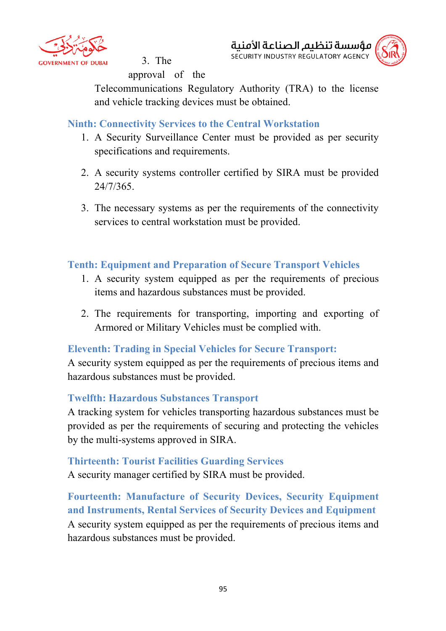

3. The



approval of the

Telecommunications Regulatory Authority (TRA) to the license and vehicle tracking devices must be obtained.

**Ninth: Connectivity Services to the Central Workstation**

- 1. A Security Surveillance Center must be provided as per security specifications and requirements.
- 2. A security systems controller certified by SIRA must be provided 24/7/365.
- 3. The necessary systems as per the requirements of the connectivity services to central workstation must be provided.

# **Tenth: Equipment and Preparation of Secure Transport Vehicles**

- 1. A security system equipped as per the requirements of precious items and hazardous substances must be provided.
- 2. The requirements for transporting, importing and exporting of Armored or Military Vehicles must be complied with.

# **Eleventh: Trading in Special Vehicles for Secure Transport:**

A security system equipped as per the requirements of precious items and hazardous substances must be provided.

## **Twelfth: Hazardous Substances Transport**

A tracking system for vehicles transporting hazardous substances must be provided as per the requirements of securing and protecting the vehicles by the multi-systems approved in SIRA.

## **Thirteenth: Tourist Facilities Guarding Services**

A security manager certified by SIRA must be provided.

**Fourteenth: Manufacture of Security Devices, Security Equipment and Instruments, Rental Services of Security Devices and Equipment** A security system equipped as per the requirements of precious items and hazardous substances must be provided.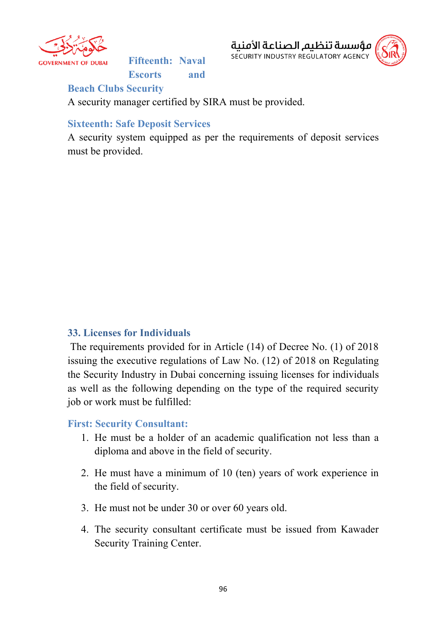

**Fifteenth: Naval Escorts and** 



**Beach Clubs Security**

A security manager certified by SIRA must be provided.

## **Sixteenth: Safe Deposit Services**

A security system equipped as per the requirements of deposit services must be provided.

#### **33. Licenses for Individuals**

The requirements provided for in Article (14) of Decree No. (1) of 2018 issuing the executive regulations of Law No. (12) of 2018 on Regulating the Security Industry in Dubai concerning issuing licenses for individuals as well as the following depending on the type of the required security job or work must be fulfilled:

#### **First: Security Consultant:**

- 1. He must be a holder of an academic qualification not less than a diploma and above in the field of security.
- 2. He must have a minimum of 10 (ten) years of work experience in the field of security.
- 3. He must not be under 30 or over 60 years old.
- 4. The security consultant certificate must be issued from Kawader Security Training Center.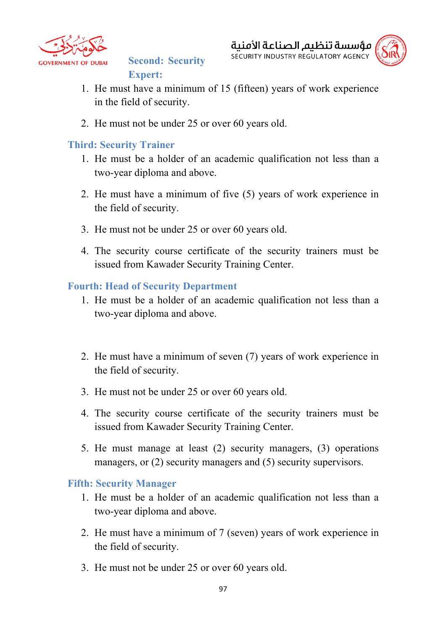

**Second: Security Expert:**



- 1. He must have a minimum of 15 (fifteen) years of work experience in the field of security.
- 2. He must not be under 25 or over 60 years old.

# **Third: Security Trainer**

- 1. He must be a holder of an academic qualification not less than a two-year diploma and above.
- 2. He must have a minimum of five (5) years of work experience in the field of security.
- 3. He must not be under 25 or over 60 years old.
- 4. The security course certificate of the security trainers must be issued from Kawader Security Training Center.

## **Fourth: Head of Security Department**

- 1. He must be a holder of an academic qualification not less than a two-year diploma and above.
- 2. He must have a minimum of seven (7) years of work experience in the field of security.
- 3. He must not be under 25 or over 60 years old.
- 4. The security course certificate of the security trainers must be issued from Kawader Security Training Center.
- 5. He must manage at least (2) security managers, (3) operations managers, or (2) security managers and (5) security supervisors.

## **Fifth: Security Manager**

- 1. He must be a holder of an academic qualification not less than a two-year diploma and above.
- 2. He must have a minimum of 7 (seven) years of work experience in the field of security.
- 3. He must not be under 25 or over 60 years old.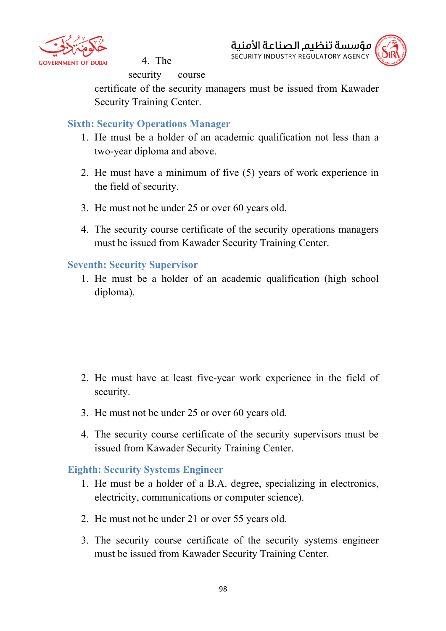

4. The

مؤسسة تنظيم الصناعة الأمنية SECURITY INDUSTRY REGULATORY AGENCY



security course

certificate of the security managers must be issued from Kawader Security Training Center.

## **Sixth: Security Operations Manager**

- 1. He must be a holder of an academic qualification not less than a two-year diploma and above.
- 2. He must have a minimum of five (5) years of work experience in the field of security.
- 3. He must not be under 25 or over 60 years old.
- 4. The security course certificate of the security operations managers must be issued from Kawader Security Training Center.

#### **Seventh: Security Supervisor**

1. He must be a holder of an academic qualification (high school diploma).

- 2. He must have at least five-year work experience in the field of security.
- 3. He must not be under 25 or over 60 years old.
- 4. The security course certificate of the security supervisors must be issued from Kawader Security Training Center.

## **Eighth: Security Systems Engineer**

- 1. He must be a holder of a B.A. degree, specializing in electronics, electricity, communications or computer science).
- 2. He must not be under 21 or over 55 years old.
- 3. The security course certificate of the security systems engineer must be issued from Kawader Security Training Center.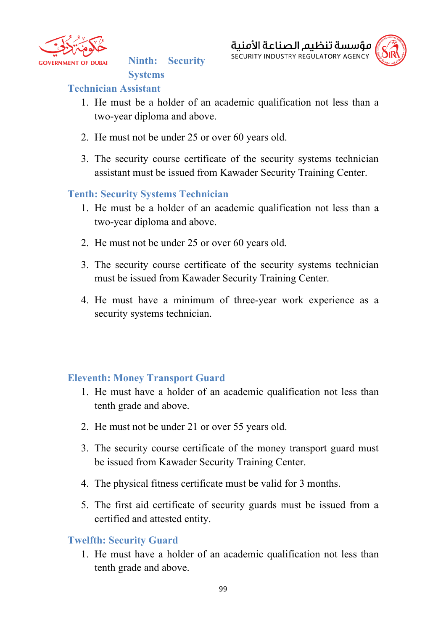

**Ninth: Security** 



## **Technician Assistant**

- 1. He must be a holder of an academic qualification not less than a two-year diploma and above.
- 2. He must not be under 25 or over 60 years old.
- 3. The security course certificate of the security systems technician assistant must be issued from Kawader Security Training Center.

# **Tenth: Security Systems Technician**

**Systems** 

- 1. He must be a holder of an academic qualification not less than a two-year diploma and above.
- 2. He must not be under 25 or over 60 years old.
- 3. The security course certificate of the security systems technician must be issued from Kawader Security Training Center.
- 4. He must have a minimum of three-year work experience as a security systems technician.

# **Eleventh: Money Transport Guard**

- 1. He must have a holder of an academic qualification not less than tenth grade and above.
- 2. He must not be under 21 or over 55 years old.
- 3. The security course certificate of the money transport guard must be issued from Kawader Security Training Center.
- 4. The physical fitness certificate must be valid for 3 months.
- 5. The first aid certificate of security guards must be issued from a certified and attested entity.

## **Twelfth: Security Guard**

1. He must have a holder of an academic qualification not less than tenth grade and above.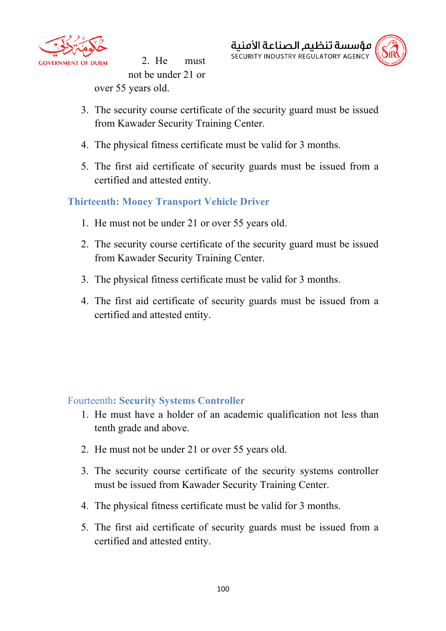

2. He must not be under 21 or over 55 years old.



- 3. The security course certificate of the security guard must be issued from Kawader Security Training Center.
- 4. The physical fitness certificate must be valid for 3 months.
- 5. The first aid certificate of security guards must be issued from a certified and attested entity.

# **Thirteenth: Money Transport Vehicle Driver**

- 1. He must not be under 21 or over 55 years old.
- 2. The security course certificate of the security guard must be issued from Kawader Security Training Center.
- 3. The physical fitness certificate must be valid for 3 months.
- 4. The first aid certificate of security guards must be issued from a certified and attested entity.

## Fourteenth**: Security Systems Controller**

- 1. He must have a holder of an academic qualification not less than tenth grade and above.
- 2. He must not be under 21 or over 55 years old.
- 3. The security course certificate of the security systems controller must be issued from Kawader Security Training Center.
- 4. The physical fitness certificate must be valid for 3 months.
- 5. The first aid certificate of security guards must be issued from a certified and attested entity.